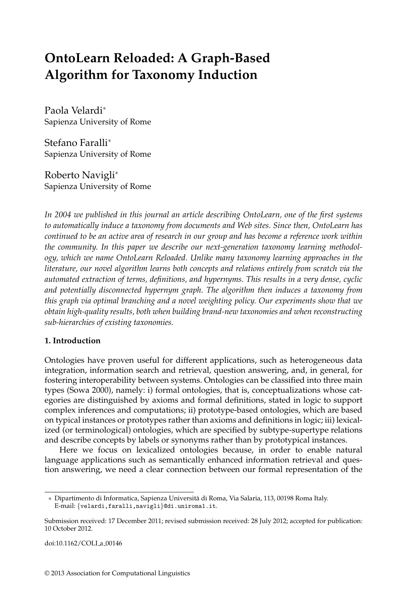# **OntoLearn Reloaded: A Graph-Based Algorithm for Taxonomy Induction**

Paola Velardi<sup>∗</sup> Sapienza University of Rome

Stefano Faralli<sup>∗</sup> Sapienza University of Rome

Roberto Navigli<sup>∗</sup> Sapienza University of Rome

*In 2004 we published in this journal an article describing OntoLearn, one of the first systems to automatically induce a taxonomy from documents and Web sites. Since then, OntoLearn has continued to be an active area of research in our group and has become a reference work within the community. In this paper we describe our next-generation taxonomy learning methodology, which we name OntoLearn Reloaded. Unlike many taxonomy learning approaches in the literature, our novel algorithm learns both concepts and relations entirely from scratch via the automated extraction of terms, definitions, and hypernyms. This results in a very dense, cyclic and potentially disconnected hypernym graph. The algorithm then induces a taxonomy from this graph via optimal branching and a novel weighting policy. Our experiments show that we obtain high-quality results, both when building brand-new taxonomies and when reconstructing sub-hierarchies of existing taxonomies.*

# **1. Introduction**

Ontologies have proven useful for different applications, such as heterogeneous data integration, information search and retrieval, question answering, and, in general, for fostering interoperability between systems. Ontologies can be classified into three main types (Sowa 2000), namely: i) formal ontologies, that is, conceptualizations whose categories are distinguished by axioms and formal definitions, stated in logic to support complex inferences and computations; ii) prototype-based ontologies, which are based on typical instances or prototypes rather than axioms and definitions in logic; iii) lexicalized (or terminological) ontologies, which are specified by subtype-supertype relations and describe concepts by labels or synonyms rather than by prototypical instances.

Here we focus on lexicalized ontologies because, in order to enable natural language applications such as semantically enhanced information retrieval and question answering, we need a clear connection between our formal representation of the

doi:10.1162/COLI\_a\_00146

<sup>∗</sup> Dipartimento di Informatica, Sapienza Universita di Roma, Via Salaria, 113, 00198 Roma Italy. ` E-mail: {velardi,faralli,navigli}@di.uniroma1.it.

Submission received: 17 December 2011; revised submission received: 28 July 2012; accepted for publication: 10 October 2012.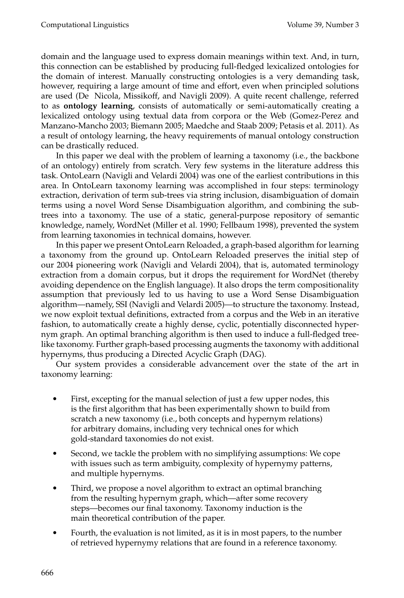domain and the language used to express domain meanings within text. And, in turn, this connection can be established by producing full-fledged lexicalized ontologies for the domain of interest. Manually constructing ontologies is a very demanding task, however, requiring a large amount of time and effort, even when principled solutions are used (De Nicola, Missikoff, and Navigli 2009). A quite recent challenge, referred to as **ontology learning**, consists of automatically or semi-automatically creating a lexicalized ontology using textual data from corpora or the Web (Gomez-Perez and Manzano-Mancho 2003; Biemann 2005; Maedche and Staab 2009; Petasis et al. 2011). As a result of ontology learning, the heavy requirements of manual ontology construction can be drastically reduced.

In this paper we deal with the problem of learning a taxonomy (i.e., the backbone of an ontology) entirely from scratch. Very few systems in the literature address this task. OntoLearn (Navigli and Velardi 2004) was one of the earliest contributions in this area. In OntoLearn taxonomy learning was accomplished in four steps: terminology extraction, derivation of term sub-trees via string inclusion, disambiguation of domain terms using a novel Word Sense Disambiguation algorithm, and combining the subtrees into a taxonomy. The use of a static, general-purpose repository of semantic knowledge, namely, WordNet (Miller et al. 1990; Fellbaum 1998), prevented the system from learning taxonomies in technical domains, however.

In this paper we present OntoLearn Reloaded, a graph-based algorithm for learning a taxonomy from the ground up. OntoLearn Reloaded preserves the initial step of our 2004 pioneering work (Navigli and Velardi 2004), that is, automated terminology extraction from a domain corpus, but it drops the requirement for WordNet (thereby avoiding dependence on the English language). It also drops the term compositionality assumption that previously led to us having to use a Word Sense Disambiguation algorithm—namely, SSI (Navigli and Velardi 2005)—to structure the taxonomy. Instead, we now exploit textual definitions, extracted from a corpus and the Web in an iterative fashion, to automatically create a highly dense, cyclic, potentially disconnected hypernym graph. An optimal branching algorithm is then used to induce a full-fledged treelike taxonomy. Further graph-based processing augments the taxonomy with additional hypernyms, thus producing a Directed Acyclic Graph (DAG).

Our system provides a considerable advancement over the state of the art in taxonomy learning:

- First, excepting for the manual selection of just a few upper nodes, this is the first algorithm that has been experimentally shown to build from scratch a new taxonomy (i.e., both concepts and hypernym relations) for arbitrary domains, including very technical ones for which gold-standard taxonomies do not exist.
- Second, we tackle the problem with no simplifying assumptions: We cope with issues such as term ambiguity, complexity of hypernymy patterns, and multiple hypernyms.
- Third, we propose a novel algorithm to extract an optimal branching from the resulting hypernym graph, which—after some recovery steps—becomes our final taxonomy. Taxonomy induction is the main theoretical contribution of the paper.
- Fourth, the evaluation is not limited, as it is in most papers, to the number of retrieved hypernymy relations that are found in a reference taxonomy.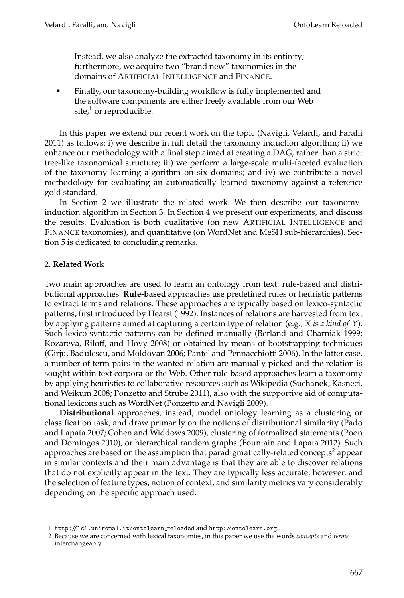Instead, we also analyze the extracted taxonomy in its entirety; furthermore, we acquire two "brand new" taxonomies in the domains of ARTIFICIAL INTELLIGENCE and FINANCE.

 Finally, our taxonomy-building workflow is fully implemented and the software components are either freely available from our Web site, $<sup>1</sup>$  or reproducible.</sup>

In this paper we extend our recent work on the topic (Navigli, Velardi, and Faralli 2011) as follows: i) we describe in full detail the taxonomy induction algorithm; ii) we enhance our methodology with a final step aimed at creating a DAG, rather than a strict tree-like taxonomical structure; iii) we perform a large-scale multi-faceted evaluation of the taxonomy learning algorithm on six domains; and iv) we contribute a novel methodology for evaluating an automatically learned taxonomy against a reference gold standard.

In Section 2 we illustrate the related work. We then describe our taxonomyinduction algorithm in Section 3. In Section 4 we present our experiments, and discuss the results. Evaluation is both qualitative (on new ARTIFICIAL INTELLIGENCE and FINANCE taxonomies), and quantitative (on WordNet and MeSH sub-hierarchies). Section 5 is dedicated to concluding remarks.

# **2. Related Work**

Two main approaches are used to learn an ontology from text: rule-based and distributional approaches. **Rule-based** approaches use predefined rules or heuristic patterns to extract terms and relations. These approaches are typically based on lexico-syntactic patterns, first introduced by Hearst (1992). Instances of relations are harvested from text by applying patterns aimed at capturing a certain type of relation (e.g., *X is a kind of Y*). Such lexico-syntactic patterns can be defined manually (Berland and Charniak 1999; Kozareva, Riloff, and Hovy 2008) or obtained by means of bootstrapping techniques (Girju, Badulescu, and Moldovan 2006; Pantel and Pennacchiotti 2006). In the latter case, a number of term pairs in the wanted relation are manually picked and the relation is sought within text corpora or the Web. Other rule-based approaches learn a taxonomy by applying heuristics to collaborative resources such as Wikipedia (Suchanek, Kasneci, and Weikum 2008; Ponzetto and Strube 2011), also with the supportive aid of computational lexicons such as WordNet (Ponzetto and Navigli 2009).

**Distributional** approaches, instead, model ontology learning as a clustering or classification task, and draw primarily on the notions of distributional similarity (Pado and Lapata 2007; Cohen and Widdows 2009), clustering of formalized statements (Poon and Domingos 2010), or hierarchical random graphs (Fountain and Lapata 2012). Such approaches are based on the assumption that paradigmatically-related concepts<sup>2</sup> appear in similar contexts and their main advantage is that they are able to discover relations that do not explicitly appear in the text. They are typically less accurate, however, and the selection of feature types, notion of context, and similarity metrics vary considerably depending on the specific approach used.

<sup>1</sup> http://lcl.uniroma1.it/ontolearn reloaded and http://ontolearn.org.

<sup>2</sup> Because we are concerned with lexical taxonomies, in this paper we use the words *concepts* and *terms* interchangeably.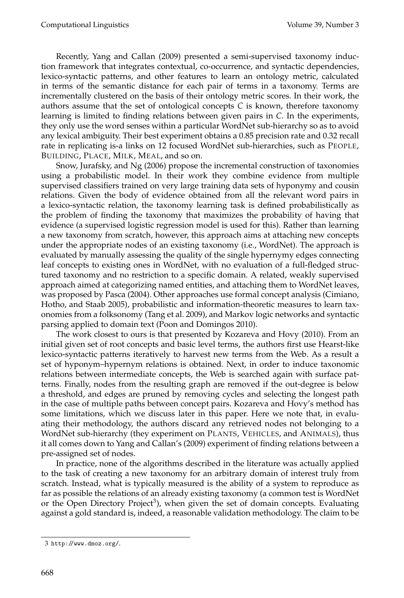Recently, Yang and Callan (2009) presented a semi-supervised taxonomy induction framework that integrates contextual, co-occurrence, and syntactic dependencies, lexico-syntactic patterns, and other features to learn an ontology metric, calculated in terms of the semantic distance for each pair of terms in a taxonomy. Terms are incrementally clustered on the basis of their ontology metric scores. In their work, the authors assume that the set of ontological concepts *C* is known, therefore taxonomy learning is limited to finding relations between given pairs in *C*. In the experiments, they only use the word senses within a particular WordNet sub-hierarchy so as to avoid any lexical ambiguity. Their best experiment obtains a 0.85 precision rate and 0.32 recall rate in replicating is-a links on 12 focused WordNet sub-hierarchies, such as PEOPLE, BUILDING, PLACE, MILK, MEAL, and so on.

Snow, Jurafsky, and Ng (2006) propose the incremental construction of taxonomies using a probabilistic model. In their work they combine evidence from multiple supervised classifiers trained on very large training data sets of hyponymy and cousin relations. Given the body of evidence obtained from all the relevant word pairs in a lexico-syntactic relation, the taxonomy learning task is defined probabilistically as the problem of finding the taxonomy that maximizes the probability of having that evidence (a supervised logistic regression model is used for this). Rather than learning a new taxonomy from scratch, however, this approach aims at attaching new concepts under the appropriate nodes of an existing taxonomy (i.e., WordNet). The approach is evaluated by manually assessing the quality of the single hypernymy edges connecting leaf concepts to existing ones in WordNet, with no evaluation of a full-fledged structured taxonomy and no restriction to a specific domain. A related, weakly supervised approach aimed at categorizing named entities, and attaching them to WordNet leaves, was proposed by Pasca (2004). Other approaches use formal concept analysis (Cimiano, Hotho, and Staab 2005), probabilistic and information-theoretic measures to learn taxonomies from a folksonomy (Tang et al. 2009), and Markov logic networks and syntactic parsing applied to domain text (Poon and Domingos 2010).

The work closest to ours is that presented by Kozareva and Hovy (2010). From an initial given set of root concepts and basic level terms, the authors first use Hearst-like lexico-syntactic patterns iteratively to harvest new terms from the Web. As a result a set of hyponym–hypernym relations is obtained. Next, in order to induce taxonomic relations between intermediate concepts, the Web is searched again with surface patterns. Finally, nodes from the resulting graph are removed if the out-degree is below a threshold, and edges are pruned by removing cycles and selecting the longest path in the case of multiple paths between concept pairs. Kozareva and Hovy's method has some limitations, which we discuss later in this paper. Here we note that, in evaluating their methodology, the authors discard any retrieved nodes not belonging to a WordNet sub-hierarchy (they experiment on PLANTS, VEHICLES, and ANIMALS), thus it all comes down to Yang and Callan's (2009) experiment of finding relations between a pre-assigned set of nodes.

In practice, none of the algorithms described in the literature was actually applied to the task of creating a new taxonomy for an arbitrary domain of interest truly from scratch. Instead, what is typically measured is the ability of a system to reproduce as far as possible the relations of an already existing taxonomy (a common test is WordNet or the Open Directory Project<sup>3</sup>), when given the set of domain concepts. Evaluating against a gold standard is, indeed, a reasonable validation methodology. The claim to be

<sup>3</sup> http://www.dmoz.org/.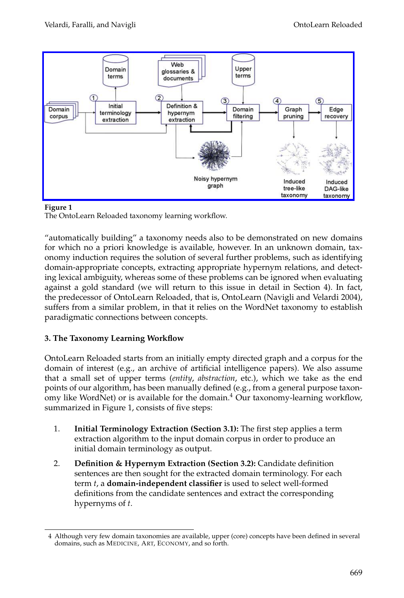# [Velardi, Faralli, and Navigli OntoLearn Reload](http://www.mitpressjournals.org/action/showImage?doi=10.1162/COLI_a_00146&iName=master.img-000.jpg&w=370&h=174)ed



**Figure 1**

The OntoLearn Reloaded taxonomy learning workflow.

"automatically building" a taxonomy needs also to be demonstrated on new domains for which no a priori knowledge is available, however. In an unknown domain, taxonomy induction requires the solution of several further problems, such as identifying domain-appropriate concepts, extracting appropriate hypernym relations, and detecting lexical ambiguity, whereas some of these problems can be ignored when evaluating against a gold standard (we will return to this issue in detail in Section 4). In fact, the predecessor of OntoLearn Reloaded, that is, OntoLearn (Navigli and Velardi 2004), suffers from a similar problem, in that it relies on the WordNet taxonomy to establish paradigmatic connections between concepts.

# **3. The Taxonomy Learning Workflow**

OntoLearn Reloaded starts from an initially empty directed graph and a corpus for the domain of interest (e.g., an archive of artificial intelligence papers). We also assume that a small set of upper terms (*entity*, *abstraction*, etc.), which we take as the end points of our algorithm, has been manually defined (e.g., from a general purpose taxonomy like WordNet) or is available for the domain. $<sup>4</sup>$  Our taxonomy-learning workflow,</sup> summarized in Figure 1, consists of five steps:

- 1. **Initial Terminology Extraction (Section 3.1):** The first step applies a term extraction algorithm to the input domain corpus in order to produce an initial domain terminology as output.
- 2. **Definition & Hypernym Extraction (Section 3.2):** Candidate definition sentences are then sought for the extracted domain terminology. For each term *t*, a **domain-independent classifier** is used to select well-formed definitions from the candidate sentences and extract the corresponding hypernyms of *t*.

<sup>4</sup> Although very few domain taxonomies are available, upper (core) concepts have been defined in several domains, such as MEDICINE, ART, ECONOMY, and so forth.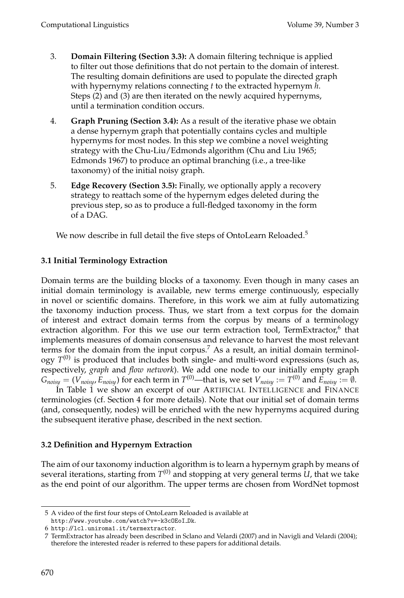- 3. **Domain Filtering (Section 3.3):** A domain filtering technique is applied to filter out those definitions that do not pertain to the domain of interest. The resulting domain definitions are used to populate the directed graph with hypernymy relations connecting *t* to the extracted hypernym *h*. Steps (2) and (3) are then iterated on the newly acquired hypernyms, until a termination condition occurs.
- 4. **Graph Pruning (Section 3.4):** As a result of the iterative phase we obtain a dense hypernym graph that potentially contains cycles and multiple hypernyms for most nodes. In this step we combine a novel weighting strategy with the Chu-Liu/Edmonds algorithm (Chu and Liu 1965; Edmonds 1967) to produce an optimal branching (i.e., a tree-like taxonomy) of the initial noisy graph.
- 5. **Edge Recovery (Section 3.5):** Finally, we optionally apply a recovery strategy to reattach some of the hypernym edges deleted during the previous step, so as to produce a full-fledged taxonomy in the form of a DAG.

We now describe in full detail the five steps of OntoLearn Reloaded.<sup>5</sup>

# **3.1 Initial Terminology Extraction**

Domain terms are the building blocks of a taxonomy. Even though in many cases an initial domain terminology is available, new terms emerge continuously, especially in novel or scientific domains. Therefore, in this work we aim at fully automatizing the taxonomy induction process. Thus, we start from a text corpus for the domain of interest and extract domain terms from the corpus by means of a terminology extraction algorithm. For this we use our term extraction tool, TermExtractor, $6$  that implements measures of domain consensus and relevance to harvest the most relevant terms for the domain from the input corpus.<sup>7</sup> As a result, an initial domain terminology  $T^{(0)}$  is produced that includes both single- and multi-word expressions (such as, respectively, *graph* and *flow network*). We add one node to our initially empty graph  $G_{noisy} = (V_{noisy}, E_{noisy})$  for each term in  $T^{(0)}$ —that is, we set  $V_{noisy} := T^{(0)}$  and  $E_{noisy} := \emptyset$ .

In Table 1 we show an excerpt of our ARTIFICIAL INTELLIGENCE and FINANCE terminologies (cf. Section 4 for more details). Note that our initial set of domain terms (and, consequently, nodes) will be enriched with the new hypernyms acquired during the subsequent iterative phase, described in the next section.

# **3.2 Definition and Hypernym Extraction**

The aim of our taxonomy induction algorithm is to learn a hypernym graph by means of several iterations, starting from  $T^{(0)}$  and stopping at very general terms  $\hat{U}$ , that we take as the end point of our algorithm. The upper terms are chosen from WordNet topmost

<sup>5</sup> A video of the first four steps of OntoLearn Reloaded is available at http://www.youtube.com/watch?v=-k3cOEoI Dk.

<sup>6</sup> http://lcl.uniroma1.it/termextractor.

<sup>7</sup> TermExtractor has already been described in Sclano and Velardi (2007) and in Navigli and Velardi (2004); therefore the interested reader is referred to these papers for additional details.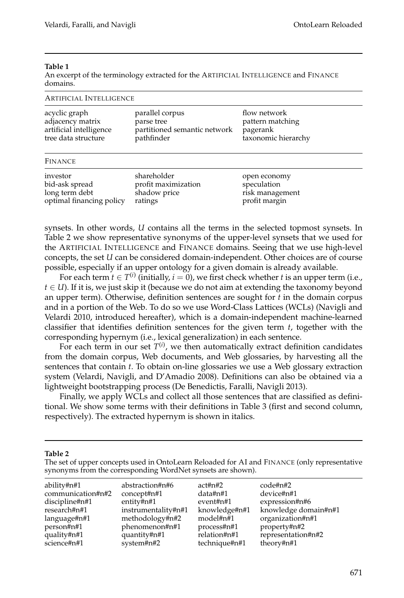An excerpt of the terminology extracted for the ARTIFICIAL INTELLIGENCE and FINANCE domains.

| <b>ARTIFICIAL INTELLIGENCE</b> |                              |                     |
|--------------------------------|------------------------------|---------------------|
| acyclic graph                  | parallel corpus              | flow network        |
| adjacency matrix               | parse tree                   | pattern matching    |
| artificial intelligence        | partitioned semantic network | pagerank            |
| tree data structure            | pathfinder                   | taxonomic hierarchy |
| <b>FINANCE</b>                 |                              |                     |
| investor                       | shareholder                  | open economy        |
| bid-ask spread                 | profit maximization          | speculation         |
| long term debt                 | shadow price                 | risk management     |
| optimal financing policy       | ratings                      | profit margin       |

synsets. In other words, *U* contains all the terms in the selected topmost synsets. In Table 2 we show representative synonyms of the upper-level synsets that we used for the ARTIFICIAL INTELLIGENCE and FINANCE domains. Seeing that we use high-level concepts, the set *U* can be considered domain-independent. Other choices are of course possible, especially if an upper ontology for a given domain is already available.

For each term  $t \in T^{(i)}$  (initially,  $i = 0$ ), we first check whether *t* is an upper term (i.e., *t* ∈ *U*). If it is, we just skip it (because we do not aim at extending the taxonomy beyond an upper term). Otherwise, definition sentences are sought for *t* in the domain corpus and in a portion of the Web. To do so we use Word-Class Lattices (WCLs) (Navigli and Velardi 2010, introduced hereafter), which is a domain-independent machine-learned classifier that identifies definition sentences for the given term *t*, together with the corresponding hypernym (i.e., lexical generalization) in each sentence.

For each term in our set  $T^{(i)}$ , we then automatically extract definition candidates from the domain corpus, Web documents, and Web glossaries, by harvesting all the sentences that contain *t*. To obtain on-line glossaries we use a Web glossary extraction system (Velardi, Navigli, and D'Amadio 2008). Definitions can also be obtained via a lightweight bootstrapping process (De Benedictis, Faralli, Navigli 2013).

Finally, we apply WCLs and collect all those sentences that are classified as definitional. We show some terms with their definitions in Table 3 (first and second column, respectively). The extracted hypernym is shown in italics.

#### **Table 2**

|  |  |  |                                                             |  |  |  |  | The set of upper concepts used in OntoLearn Reloaded for AI and FINANCE (only representative |  |
|--|--|--|-------------------------------------------------------------|--|--|--|--|----------------------------------------------------------------------------------------------|--|
|  |  |  | synonyms from the corresponding WordNet synsets are shown). |  |  |  |  |                                                                                              |  |

| ability#n#1       | abstraction#n#6     | act#n#2       | code#n#2             |
|-------------------|---------------------|---------------|----------------------|
| communication#n#2 | concept#n#1         | data#n#1      | device#n#1           |
| discipline#n#1    | entity#n#1          | event#n#1     | expression#n#6       |
| research#n#1      | instrumentality#n#1 | knowledge#n#1 | knowledge domain#n#1 |
| language#n#1      | methodology#n#2     | model#n#1     | organization#n#1     |
| person#n#1        | phenomenon#n#1      | process#n#1   | property#n#2         |
| quality#n#1       | quantity#n#1        | relation#n#1  | representation#n#2   |
| science#n#1       | system#n#2          | technique#n#1 | theory#n#1           |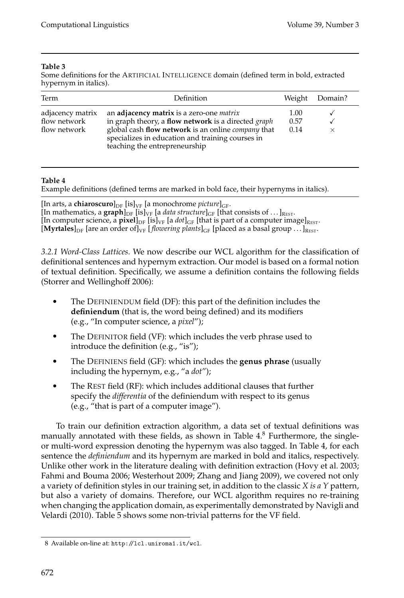Some definitions for the ARTIFICIAL INTELLIGENCE domain (defined term in bold, extracted hypernym in italics).

| Term                                             | Definition                                                                                                                                                                                                                                        | Weight               | Domain?  |
|--------------------------------------------------|---------------------------------------------------------------------------------------------------------------------------------------------------------------------------------------------------------------------------------------------------|----------------------|----------|
| adjacency matrix<br>flow network<br>flow network | an adjacency matrix is a zero-one <i>matrix</i><br>in graph theory, a flow network is a directed graph<br>global cash flow network is an online company that<br>specializes in education and training courses in<br>teaching the entrepreneurship | 1.00<br>0.57<br>0.14 | $\times$ |

### **Table 4**

Example definitions (defined terms are marked in bold face, their hypernyms in italics).

[In arts, a **chiaroscuro**]<sub>DF</sub> [is]<sub>VF</sub> [a monochrome *picture*]<sub>GF</sub>. [In mathematics, a  $graph]_{DF}$  [is]<sub>VF</sub> [a *data structure*]<sub>GF</sub> [that consists of ...]<sub>REST</sub>. [In computer science, a **pixel**]<sub>DF</sub> [is]<sub>VF</sub> [a *dot*]<sub>GF</sub> [that is part of a computer image]<sub>REST</sub>. [**Myrtales**]<sub>DF</sub> [are an order of]<sub>VF</sub> [*flowering plants*]<sub>GF</sub> [placed as a basal group ...]<sub>REST</sub>.

*3.2.1 Word-Class Lattices.* We now describe our WCL algorithm for the classification of definitional sentences and hypernym extraction. Our model is based on a formal notion of textual definition. Specifically, we assume a definition contains the following fields (Storrer and Wellinghoff 2006):

- The DEFINIENDUM field (DF): this part of the definition includes the **definiendum** (that is, the word being defined) and its modifiers (e.g., "In computer science, a *pixel*");
- The DEFINITOR field (VF): which includes the verb phrase used to introduce the definition (e.g., "is");
- The DEFINIENS field (GF): which includes the **genus phrase** (usually including the hypernym, e.g., "a *dot*");
- The REST field (RF): which includes additional clauses that further specify the *differentia* of the definiendum with respect to its genus (e.g., "that is part of a computer image").

To train our definition extraction algorithm, a data set of textual definitions was manually annotated with these fields, as shown in Table 4.<sup>8</sup> Furthermore, the singleor multi-word expression denoting the hypernym was also tagged. In Table 4, for each sentence the *definiendum* and its hypernym are marked in bold and italics, respectively. Unlike other work in the literature dealing with definition extraction (Hovy et al. 2003; Fahmi and Bouma 2006; Westerhout 2009; Zhang and Jiang 2009), we covered not only a variety of definition styles in our training set, in addition to the classic *X is a Y* pattern, but also a variety of domains. Therefore, our WCL algorithm requires no re-training when changing the application domain, as experimentally demonstrated by Navigli and Velardi (2010). Table 5 shows some non-trivial patterns for the VF field.

<sup>8</sup> Available on-line at: http://lcl.uniroma1.it/wcl.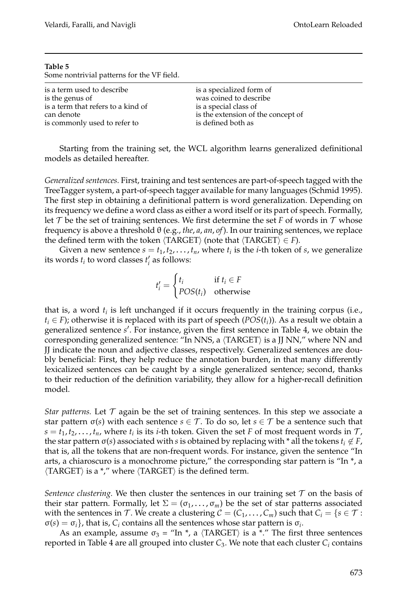Some nontrivial patterns for the VF field.

| is a term used to describe<br>is the genus of<br>is a term that refers to a kind of | is a specialized form of<br>was coined to describe<br>is a special class of |
|-------------------------------------------------------------------------------------|-----------------------------------------------------------------------------|
| can denote                                                                          | is the extension of the concept of                                          |
| is commonly used to refer to                                                        | is defined both as                                                          |

Starting from the training set, the WCL algorithm learns generalized definitional models as detailed hereafter.

*Generalized sentences.* First, training and test sentences are part-of-speech tagged with the TreeTagger system, a part-of-speech tagger available for many languages (Schmid 1995). The first step in obtaining a definitional pattern is word generalization. Depending on its frequency we define a word class as either a word itself or its part of speech. Formally, let  $\mathcal T$  be the set of training sentences. We first determine the set  $F$  of words in  $\mathcal T$  whose frequency is above a threshold θ (e.g., *the*, *a*, *an*, *of*). In our training sentences, we replace the defined term with the token  $\langle \text{TARGET} \rangle$  (note that  $\langle \text{TARGET} \rangle \in F$ ).

Given a new sentence  $s = t_1, t_2, \ldots, t_n$ , where  $t_i$  is the *i*-th token of *s*, we generalize its words  $t_i$  to word classes  $t'_i$  as follows:

$$
t'_{i} = \begin{cases} t_{i} & \text{if } t_{i} \in F \\ POS(t_{i}) & \text{otherwise} \end{cases}
$$

that is, a word  $t_i$  is left unchanged if it occurs frequently in the training corpus (i.e.,  $t_i \in F$ ); otherwise it is replaced with its part of speech ( $POS(t_i)$ ). As a result we obtain a generalized sentence *s* . For instance, given the first sentence in Table 4, we obtain the corresponding generalized sentence: "In NNS, a  $\langle TARGET \rangle$  is a JJ NN," where NN and JJ indicate the noun and adjective classes, respectively. Generalized sentences are doubly beneficial: First, they help reduce the annotation burden, in that many differently lexicalized sentences can be caught by a single generalized sentence; second, thanks to their reduction of the definition variability, they allow for a higher-recall definition model.

*Star patterns.* Let  $\tau$  again be the set of training sentences. In this step we associate a star pattern  $\sigma(s)$  with each sentence  $s \in \mathcal{T}$ . To do so, let  $s \in \mathcal{T}$  be a sentence such that  $s = t_1, t_2, \ldots, t_n$ , where  $t_i$  is its *i*-th token. Given the set *F* of most frequent words in  $\mathcal{T}$ , the star pattern  $\sigma(s)$  associated with  $s$  is obtained by replacing with  $^*$  all the tokens  $t_i \not\in F$ , that is, all the tokens that are non-frequent words. For instance, given the sentence "In arts, a chiaroscuro is a monochrome picture," the corresponding star pattern is "In \*, a  $\langle \text{TARGET} \rangle$  is a  $\gamma''$  where  $\langle \text{TARGET} \rangle$  is the defined term.

*Sentence clustering.* We then cluster the sentences in our training set  $\tau$  on the basis of their star pattern. Formally, let  $\Sigma = (\sigma_1, \ldots, \sigma_m)$  be the set of star patterns associated with the sentences in T. We create a clustering  $C = (C_1, \ldots, C_m)$  such that  $C_i = \{s \in T : S_i \neq T\}$  $\sigma(s) = \sigma_i$ , that is,  $C_i$  contains all the sentences whose star pattern is  $\sigma_i$ .

As an example, assume  $\sigma_3 =$  "In  $^*$ , a  $\langle$ TARGET $\rangle$  is a  $^*$ ." The first three sentences reported in Table 4 are all grouped into cluster  $C_3$ . We note that each cluster  $C_i$  contains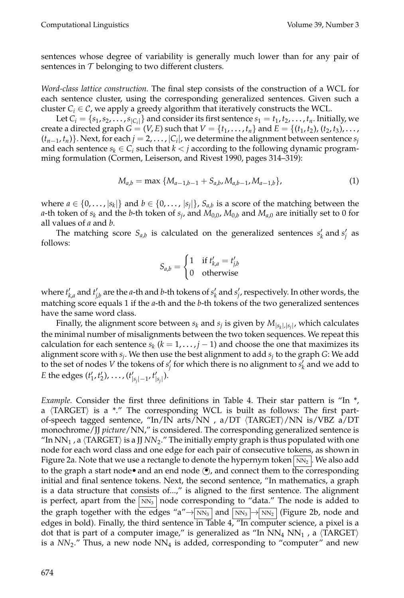sentences whose degree of variability is generally much lower than for any pair of sentences in  $T$  belonging to two different clusters.

*Word-class lattice construction.* The final step consists of the construction of a WCL for each sentence cluster, using the corresponding generalized sentences. Given such a cluster  $C_i \in \mathcal{C}$ , we apply a greedy algorithm that iteratively constructs the WCL.

Let  $C_i = \{s_1, s_2, \ldots, s_{|C_i|}\}\$  and consider its first sentence  $s_1 = t_1, t_2, \ldots, t_n$ . Initially, we create a directed graph *G* = (*V*, *E*) such that *V* = { $t_1$ , ...,  $t_n$ } and *E* = { $(t_1, t_2)$ ,  $(t_2, t_3)$ , ..., (*tn*−1,*tn*)}. Next, for each *j* = 2, ... , |*Ci*|, we determine the alignment between sentence *sj* and each sentence  $s_k \in C_i$  such that  $k \leq j$  according to the following dynamic programming formulation (Cormen, Leiserson, and Rivest 1990, pages 314–319):

$$
M_{a,b} = \max \{M_{a-1,b-1} + S_{a,b}, M_{a,b-1}, M_{a-1,b}\},\tag{1}
$$

where  $a \in \{0, \ldots, |s_k|\}$  and  $b \in \{0, \ldots, |s_j|\}$ ,  $S_{a,b}$  is a score of the matching between the *a*-th token of  $s_k$  and the *b*-th token of  $s_j$ , and  $M_{0,0}$ ,  $M_{0,b}$  and  $M_{a,0}$  are initially set to 0 for all values of *a* and *b*.

The matching score  $S_{a,b}$  is calculated on the generalized sentences  $s'_k$  and  $s'_j$  as follows:

$$
S_{a,b} = \begin{cases} 1 & \text{if } t'_{k,a} = t'_{j,b} \\ 0 & \text{otherwise} \end{cases}
$$

where  $t'_{k,a}$  and  $t'_{j,b}$  are the *a*-th and *b*-th tokens of  $s'_k$  and  $s'_{j}$ , respectively. In other words, the matching score equals 1 if the *a*-th and the *b*-th tokens of the two generalized sentences have the same word class.

Finally, the alignment score between  $s_k$  and  $s_j$  is given by  $M_{|s_k|,|s_j|}$ , which calculates the minimal number of misalignments between the two token sequences. We repeat this calculation for each sentence  $s_k$  ( $k = 1, \ldots, j - 1$ ) and choose the one that maximizes its alignment score with  $s_i$ . We then use the best alignment to add  $s_i$  to the graph *G*: We add to the set of nodes  $V$  the tokens of  $s_j'$  for which there is no alignment to  $s_k'$  and we add to  $E$  the edges  $(t'_1, t'_2), \ldots, (t'_{|s_j|-1}, t'_{|s_j|}).$ 

*Example*. Consider the first three definitions in Table 4. Their star pattern is "In \*, a  $\langle$ TARGET $\rangle$  is a  $*$ ." The corresponding WCL is built as follows: The first partof-speech tagged sentence, "In/IN arts/NN ,  $a/DT$   $\langle TARGET \rangle /NN$  is/VBZ  $a/DT$ monochrome/JJ *picture*/NN," is considered. The corresponding generalized sentence is "In NN<sub>1</sub>, a  $\langle \text{TARGE} \rangle$  is a JJ  $NN_2$ ." The initially empty graph is thus populated with one node for each word class and one edge for each pair of consecutive tokens, as shown in Figure 2a. Note that we use a rectangle to denote the hypernym token  $|NN_2|$ . We also add to the graph a start node $\bullet$  and an end node  $\odot$ , and connect them to the corresponding initial and final sentence tokens. Next, the second sentence, "In mathematics, a graph is a data structure that consists of...," is aligned to the first sentence. The alignment is perfect, apart from the  $|NN_3|$  node corresponding to "data." The node is added to the graph together with the edges "a" $\rightarrow$  NN<sub>3</sub> and  $\boxed{NN_3}$   $\rightarrow$  NN<sub>2</sub> (Figure 2b, node and edges in bold). Finally, the third sentence  $\overline{in}$  Table 4, "In computer science, a pixel is a dot that is part of a computer image," is generalized as "In  $\overline{NN}_4$   $NN_1$  , a  $\langle \hat{T} \text{ARGET} \rangle$ is a  $NN_2$ ." Thus, a new node  $NN_4$  is added, corresponding to "computer" and new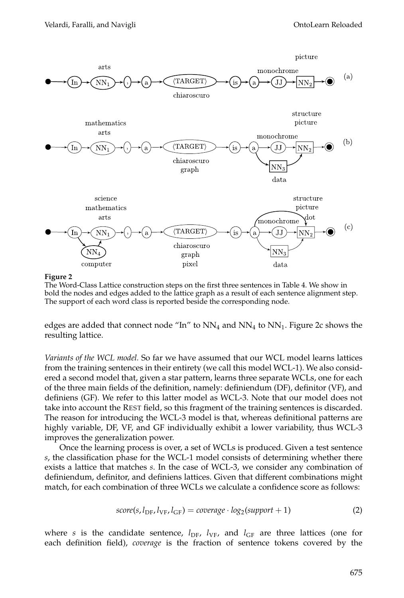

**Figure 2**

The Word-Class Lattice construction steps on the first three sentences in Table 4. We show in bold the nodes and edges added to the lattice graph as a result of each sentence alignment step. The support of each word class is reported beside the corresponding node.

edges are added that connect node "In" to  $NN_4$  and  $NN_4$  to  $NN_1$ . Figure 2c shows the resulting lattice.

*Variants of the WCL model.* So far we have assumed that our WCL model learns lattices from the training sentences in their entirety (we call this model WCL-1). We also considered a second model that, given a star pattern, learns three separate WCLs, one for each of the three main fields of the definition, namely: definiendum (DF), definitor (VF), and definiens (GF). We refer to this latter model as WCL-3. Note that our model does not take into account the REST field, so this fragment of the training sentences is discarded. The reason for introducing the WCL-3 model is that, whereas definitional patterns are highly variable, DF, VF, and GF individually exhibit a lower variability, thus WCL-3 improves the generalization power.

Once the learning process is over, a set of WCLs is produced. Given a test sentence *s*, the classification phase for the WCL-1 model consists of determining whether there exists a lattice that matches *s*. In the case of WCL-3, we consider any combination of definiendum, definitor, and definiens lattices. Given that different combinations might match, for each combination of three WCLs we calculate a confidence score as follows:

$$
score(s, l_{DF}, l_{VF}, l_{GF}) = coverage \cdot log_2(support + 1)
$$
\n(2)

where *s* is the candidate sentence,  $l_{DF}$ ,  $l_{VF}$ , and  $l_{GF}$  are three lattices (one for each definition field), *coverage* is the fraction of sentence tokens covered by the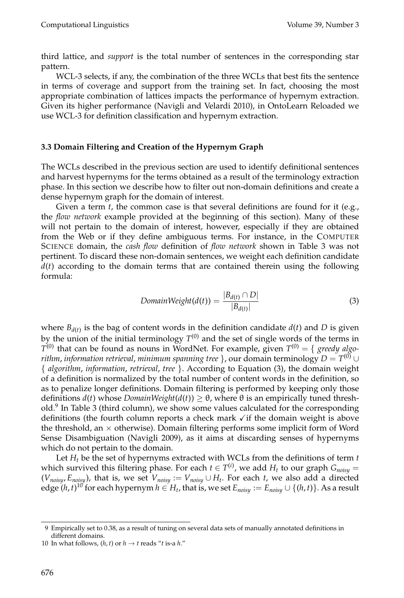third lattice, and *support* is the total number of sentences in the corresponding star pattern.

WCL-3 selects, if any, the combination of the three WCLs that best fits the sentence in terms of coverage and support from the training set. In fact, choosing the most appropriate combination of lattices impacts the performance of hypernym extraction. Given its higher performance (Navigli and Velardi 2010), in OntoLearn Reloaded we use WCL-3 for definition classification and hypernym extraction.

#### **3.3 Domain Filtering and Creation of the Hypernym Graph**

The WCLs described in the previous section are used to identify definitional sentences and harvest hypernyms for the terms obtained as a result of the terminology extraction phase. In this section we describe how to filter out non-domain definitions and create a dense hypernym graph for the domain of interest.

Given a term *t*, the common case is that several definitions are found for it (e.g., the *flow network* example provided at the beginning of this section). Many of these will not pertain to the domain of interest, however, especially if they are obtained from the Web or if they define ambiguous terms. For instance, in the COMPUTER SCIENCE domain, the *cash flow* definition of *flow network* shown in Table 3 was not pertinent. To discard these non-domain sentences, we weight each definition candidate *d*(*t*) according to the domain terms that are contained therein using the following formula:

$$
DomainWeight(d(t)) = \frac{|B_{d(t)} \cap D|}{|B_{d(t)}|}
$$
\n(3)

where  $B_{d(t)}$  is the bag of content words in the definition candidate  $d(t)$  and *D* is given by the union of the initial terminology  $T^{(0)}$  and the set of single words of the terms in  $T^{(0)}$  that can be found as nouns in WordNet. For example, given  $T^{(0)} = \{$  greedy algo*rithm, information retrieval, minimum spanning tree* }, our domain terminology *D* =  $T^{(0)}$  ∪ { *algorithm*, *information*, *retrieval*, *tree* }. According to Equation (3), the domain weight of a definition is normalized by the total number of content words in the definition, so as to penalize longer definitions. Domain filtering is performed by keeping only those definitions *d*(*t*) whose *DomainWeight*(*d*(*t*)) ≥ θ, where θ is an empirically tuned threshold.<sup>9</sup> In Table 3 (third column), we show some values calculated for the corresponding definitions (the fourth column reports a check mark  $\checkmark$  if the domain weight is above the threshold, an  $\times$  otherwise). Domain filtering performs some implicit form of Word Sense Disambiguation (Navigli 2009), as it aims at discarding senses of hypernyms which do not pertain to the domain.

Let *Ht* be the set of hypernyms extracted with WCLs from the definitions of term *t* which survived this filtering phase. For each  $t \in T^{(i)}$ , we add  $H_t$  to our graph  $G_{noisy} =$  $(V_{noisy}, E_{noisy})$ , that is, we set  $V_{noisy} := V_{noisy} \cup H_t$ . For each *t*, we also add a directed edge  $(h,t)^{10}$  for each hypernym  $h\in H_t$ , that is, we set  $E_{noisy}:=E_{noisy}\cup\{(h,t)\}.$  As a result

<sup>9</sup> Empirically set to 0.38, as a result of tuning on several data sets of manually annotated definitions in different domains.

<sup>10</sup> In what follows,  $(h, t)$  or  $h \rightarrow t$  reads "*t* is-a  $h$ ."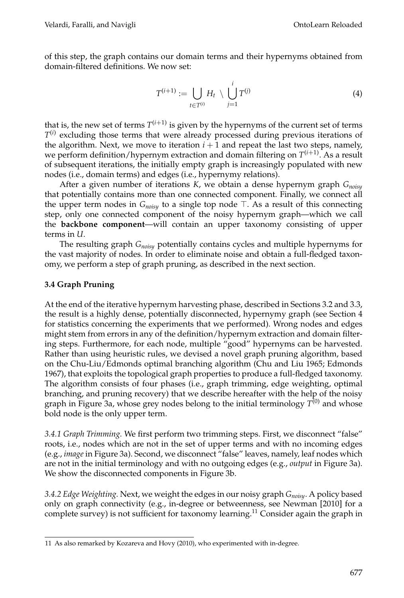of this step, the graph contains our domain terms and their hypernyms obtained from domain-filtered definitions. We now set:

$$
T^{(i+1)} := \bigcup_{t \in T^{(i)}} H_t \setminus \bigcup_{j=1}^{i} T^{(j)} \tag{4}
$$

that is, the new set of terms  $T^{(i+1)}$  is given by the hypernyms of the current set of terms *T*(*i*) excluding those terms that were already processed during previous iterations of the algorithm. Next, we move to iteration  $i + 1$  and repeat the last two steps, namely, we perform definition/hypernym extraction and domain filtering on  $T^{(i+1)}$ . As a result of subsequent iterations, the initially empty graph is increasingly populated with new nodes (i.e., domain terms) and edges (i.e., hypernymy relations).

After a given number of iterations *K*, we obtain a dense hypernym graph *Gnoisy* that potentially contains more than one connected component. Finally, we connect all the upper term nodes in  $G<sub>noisy</sub>$  to a single top node  $\top$ . As a result of this connecting step, only one connected component of the noisy hypernym graph—which we call the **backbone component**—will contain an upper taxonomy consisting of upper terms in *U*.

The resulting graph *Gnoisy* potentially contains cycles and multiple hypernyms for the vast majority of nodes. In order to eliminate noise and obtain a full-fledged taxonomy, we perform a step of graph pruning, as described in the next section.

# **3.4 Graph Pruning**

At the end of the iterative hypernym harvesting phase, described in Sections 3.2 and 3.3, the result is a highly dense, potentially disconnected, hypernymy graph (see Section 4 for statistics concerning the experiments that we performed). Wrong nodes and edges might stem from errors in any of the definition/hypernym extraction and domain filtering steps. Furthermore, for each node, multiple "good" hypernyms can be harvested. Rather than using heuristic rules, we devised a novel graph pruning algorithm, based on the Chu-Liu/Edmonds optimal branching algorithm (Chu and Liu 1965; Edmonds 1967), that exploits the topological graph properties to produce a full-fledged taxonomy. The algorithm consists of four phases (i.e., graph trimming, edge weighting, optimal branching, and pruning recovery) that we describe hereafter with the help of the noisy graph in Figure 3a, whose grey nodes belong to the initial terminology  $T^{(0)}$  and whose bold node is the only upper term.

*3.4.1 Graph Trimming.* We first perform two trimming steps. First, we disconnect "false" roots, i.e., nodes which are not in the set of upper terms and with no incoming edges (e.g., *image* in Figure 3a). Second, we disconnect "false" leaves, namely, leaf nodes which are not in the initial terminology and with no outgoing edges (e.g., *output* in Figure 3a). We show the disconnected components in Figure 3b.

3.4.2 Edge Weighting. Next, we weight the edges in our noisy graph G<sub>noisy</sub>. A policy based only on graph connectivity (e.g., in-degree or betweenness, see Newman [2010] for a complete survey) is not sufficient for taxonomy learning.<sup>11</sup> Consider again the graph in

<sup>11</sup> As also remarked by Kozareva and Hovy (2010), who experimented with in-degree.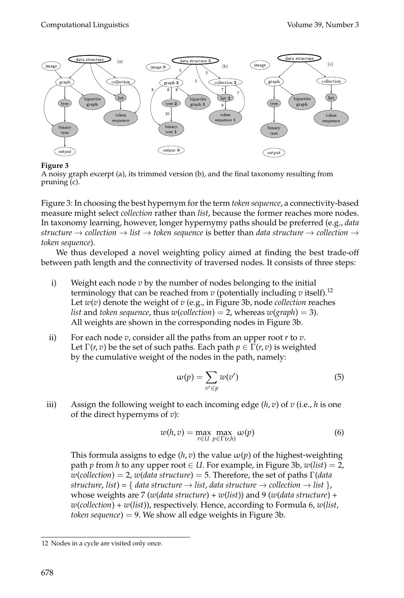

# **Figure 3**

A noisy graph excerpt (a), its trimmed version (b), and the final taxonomy resulting from pruning (c).

Figure 3: In choosing the best hypernym for the term *token sequence*, a connectivity-based measure might select *collection* rather than *list*, because the former reaches more nodes. In taxonomy learning, however, longer hypernymy paths should be preferred (e.g., *data structure* → *collection* → *list* → *token sequence* is better than *data structure* → *collection* → *token sequence*).

We thus developed a novel weighting policy aimed at finding the best trade-off between path length and the connectivity of traversed nodes. It consists of three steps:

- i) Weight each node *v* by the number of nodes belonging to the initial terminology that can be reached from  $v$  (potentially including  $v$  itself).<sup>12</sup> Let *w*(*v*) denote the weight of *v* (e.g., in Figure 3b, node *collection* reaches *list* and *token sequence*, thus  $w$ (*collection*) = 2, whereas  $w$ (*graph*) = 3). All weights are shown in the corresponding nodes in Figure 3b.
- ii) For each node *v*, consider all the paths from an upper root *r* to *v*. Let  $\Gamma(r, v)$  be the set of such paths. Each path  $p \in \Gamma(r, v)$  is weighted by the cumulative weight of the nodes in the path, namely:

$$
\omega(p) = \sum_{v' \in p} w(v') \tag{5}
$$

iii) Assign the following weight to each incoming edge  $(h, v)$  of  $v$  (i.e.,  $h$  is one of the direct hypernyms of *v*):

$$
w(h,v) = \max_{r \in U} \max_{p \in \Gamma(r,h)} \omega(p) \tag{6}
$$

This formula assigns to edge  $(h, v)$  the value  $\omega(p)$  of the highest-weighting path *p* from *h* to any upper root  $\in U$ . For example, in Figure 3b,  $w(list) = 2$ , *w*(*collection*) = 2, *w*(*data structure*) = 5. Therefore, the set of paths Γ(*data structure, list*) = { *data structure*  $\rightarrow$  *list, data structure*  $\rightarrow$  *collection*  $\rightarrow$  *list* }, whose weights are 7 (*w*(*data structure*) + *w*(*list*)) and 9 (*w*(*data structure*) + *w*(*collection*) + *w*(*list*)), respectively. Hence, according to Formula 6, *w*(*list*, *token sequence*) = 9. We show all edge weights in Figure 3b.

<sup>12</sup> Nodes in a cycle are visited only once.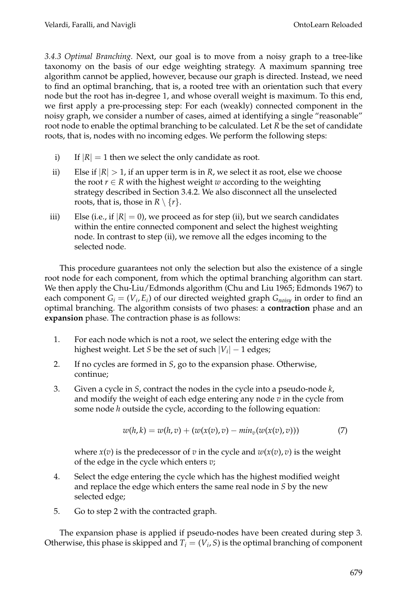*3.4.3 Optimal Branching.* Next, our goal is to move from a noisy graph to a tree-like taxonomy on the basis of our edge weighting strategy. A maximum spanning tree algorithm cannot be applied, however, because our graph is directed. Instead, we need to find an optimal branching, that is, a rooted tree with an orientation such that every node but the root has in-degree 1, and whose overall weight is maximum. To this end, we first apply a pre-processing step: For each (weakly) connected component in the noisy graph, we consider a number of cases, aimed at identifying a single "reasonable" root node to enable the optimal branching to be calculated. Let *R* be the set of candidate roots, that is, nodes with no incoming edges. We perform the following steps:

- i) If  $|R| = 1$  then we select the only candidate as root.
- ii) Else if  $|R| > 1$ , if an upper term is in *R*, we select it as root, else we choose the root  $r \in R$  with the highest weight *w* according to the weighting strategy described in Section 3.4.2. We also disconnect all the unselected roots, that is, those in  $R \setminus \{r\}$ .
- iii) Else (i.e., if  $|R| = 0$ ), we proceed as for step (ii), but we search candidates within the entire connected component and select the highest weighting node. In contrast to step (ii), we remove all the edges incoming to the selected node.

This procedure guarantees not only the selection but also the existence of a single root node for each component, from which the optimal branching algorithm can start. We then apply the Chu-Liu/Edmonds algorithm (Chu and Liu 1965; Edmonds 1967) to each component  $G_i = (V_i, E_i)$  of our directed weighted graph  $G_{noisy}$  in order to find an optimal branching. The algorithm consists of two phases: a **contraction** phase and an **expansion** phase. The contraction phase is as follows:

- 1. For each node which is not a root, we select the entering edge with the highest weight. Let *S* be the set of such  $|V_i| - 1$  edges;
- 2. If no cycles are formed in *S*, go to the expansion phase. Otherwise, continue;
- 3. Given a cycle in *S*, contract the nodes in the cycle into a pseudo-node *k*, and modify the weight of each edge entering any node *v* in the cycle from some node *h* outside the cycle, according to the following equation:

$$
w(h,k) = w(h,v) + (w(x(v),v) - min_v(w(x(v),v)))
$$
\n(7)

where  $x(v)$  is the predecessor of *v* in the cycle and  $w(x(v), v)$  is the weight of the edge in the cycle which enters *v*;

- 4. Select the edge entering the cycle which has the highest modified weight and replace the edge which enters the same real node in *S* by the new selected edge;
- 5. Go to step 2 with the contracted graph.

The expansion phase is applied if pseudo-nodes have been created during step 3. Otherwise, this phase is skipped and  $T_i = (V_i, S)$  is the optimal branching of component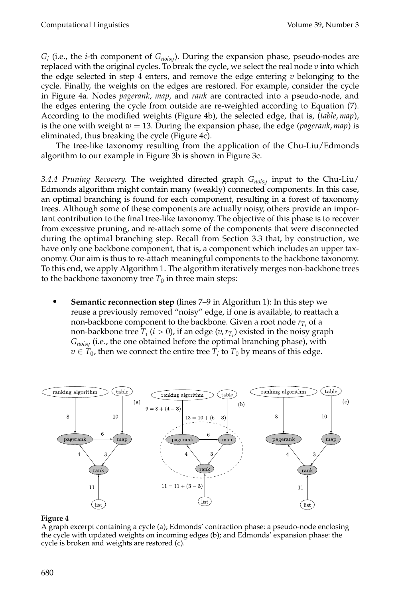*Gi* (i.e., the *i*-th component of *Gnoisy*). During the expansion phase, pseudo-nodes are replaced with the original cycles. To break the cycle, we select the real node *v* into which the edge selected in step 4 enters, and remove the edge entering *v* belonging to the cycle. Finally, the weights on the edges are restored. For example, consider the cycle in Figure 4a. Nodes *pagerank*, *map*, and *rank* are contracted into a pseudo-node, and the edges entering the cycle from outside are re-weighted according to Equation (7). According to the modified weights (Figure 4b), the selected edge, that is, (*table*, *map*), is the one with weight  $w = 13$ . During the expansion phase, the edge (*pagerank*, *map*) is eliminated, thus breaking the cycle (Figure 4c).

The tree-like taxonomy resulting from the application of the Chu-Liu/Edmonds algorithm to our example in Figure 3b is shown in Figure 3c.

*3.4.4 Pruning Recovery.* The weighted directed graph *Gnoisy* input to the Chu-Liu/ Edmonds algorithm might contain many (weakly) connected components. In this case, an optimal branching is found for each component, resulting in a forest of taxonomy trees. Although some of these components are actually noisy, others provide an important contribution to the final tree-like taxonomy. The objective of this phase is to recover from excessive pruning, and re-attach some of the components that were disconnected during the optimal branching step. Recall from Section 3.3 that, by construction, we have only one backbone component, that is, a component which includes an upper taxonomy. Our aim is thus to re-attach meaningful components to the backbone taxonomy. To this end, we apply Algorithm 1. The algorithm iteratively merges non-backbone trees to the backbone taxonomy tree  $T_0$  in three main steps:

 **Semantic reconnection step** (lines 7–9 in Algorithm 1): In this step we reuse a previously removed "noisy" edge, if one is available, to reattach a non-backbone component to the backbone. Given a root node  $r_{T_i}$  of a non-backbone tree  $T_i$   $(i > 0)$ , if an edge  $(v, r_{T_i})$  existed in the noisy graph *Gnoisy* (i.e., the one obtained before the optimal branching phase), with  $v \in T_0$ , then we connect the entire tree  $T_i$  to  $T_0$  by means of this edge.



# **Figure 4**

A graph excerpt containing a cycle (a); Edmonds' contraction phase: a pseudo-node enclosing the cycle with updated weights on incoming edges (b); and Edmonds' expansion phase: the cycle is broken and weights are restored (c).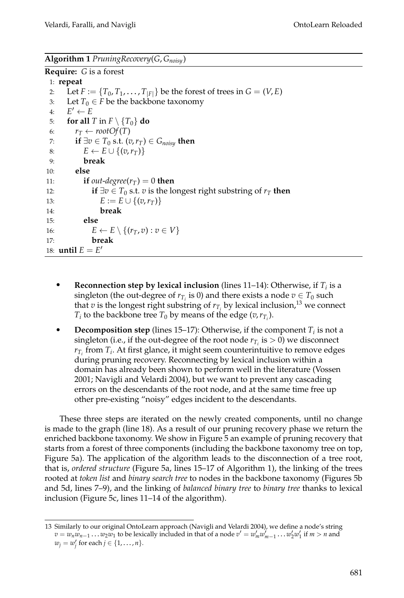| <b>Algorithm 1</b> PruningRecovery(G, $G_{noisy}$ ) |  |  |  |  |
|-----------------------------------------------------|--|--|--|--|
|-----------------------------------------------------|--|--|--|--|

**Require:** *G* is a forest 1: **repeat** 2: Let  $F := \{T_0, T_1, \dots, T_{|F|}\}$  be the forest of trees in  $G = (V, E)$ <br>3: Let  $T_0 \in F$  be the backbone taxonomy Let  $T_0 \in F$  be the backbone taxonomy 4:  $E' \leftarrow E$ 5: **for all** *T* in  $F \setminus \{T_0\}$  do 6:  $r_T \leftarrow rootOf(T)$ 7: **if**  $\exists v \in T_0$  s.t.  $(v, r_T) \in G_{noisy}$  then 8:  $E \leftarrow E \cup \{(v, r_T)\}\$ 9: **break** 10: **else** 11: **if** *out-degree*( $r_T$ ) = 0 **then** 12: **if** ∃*v* ∈ *T*<sub>0</sub> s.t. *v* is the longest right substring of  $r_T$  then 13:  $E := E \cup \{(v, r_T)\}\$ 14: **break** 15: **else** 16:  $E \leftarrow E \setminus \{(r_T, v) : v \in V\}$ 17: **break** 18: **until**  $E = E'$ 

- **Reconnection step by lexical inclusion** (lines 11–14): Otherwise, if  $T_i$  is a singleton (the out-degree of  $r_{T_i}$  is 0) and there exists a node  $v \in T_0$  such that *v* is the longest right substring of  $r<sub>T</sub>$  by lexical inclusion,<sup>13</sup> we connect  $T_i$  to the backbone tree  $T_0$  by means of the edge  $(v, r_{T_i})$ .
- **Decomposition step** (lines 15–17): Otherwise, if the component  $T_i$  is not a singleton (i.e., if the out-degree of the root node  $r<sub>T<sub>i</sub></sub>$  is  $> 0$ ) we disconnect  $r_{T_i}$  from  $T_i$ . At first glance, it might seem counterintuitive to remove edges during pruning recovery. Reconnecting by lexical inclusion within a domain has already been shown to perform well in the literature (Vossen 2001; Navigli and Velardi 2004), but we want to prevent any cascading errors on the descendants of the root node, and at the same time free up other pre-existing "noisy" edges incident to the descendants.

These three steps are iterated on the newly created components, until no change is made to the graph (line 18). As a result of our pruning recovery phase we return the enriched backbone taxonomy. We show in Figure 5 an example of pruning recovery that starts from a forest of three components (including the backbone taxonomy tree on top, Figure 5a). The application of the algorithm leads to the disconnection of a tree root, that is, *ordered structure* (Figure 5a, lines 15–17 of Algorithm 1), the linking of the trees rooted at *token list* and *binary search tree* to nodes in the backbone taxonomy (Figures 5b and 5d, lines 7–9), and the linking of *balanced binary tree* to *binary tree* thanks to lexical inclusion (Figure 5c, lines 11–14 of the algorithm).

<sup>13</sup> Similarly to our original OntoLearn approach (Navigli and Velardi 2004), we define a node's string *v* =  $w_n w_{n-1} \dots w_2 w_1$  to be lexically included in that of a node  $v' = w'_m w'_{m-1} \dots w'_2 w'_1$  if  $m > n$  and  $w_j = w'_j$  for each  $j \in \{1, \ldots, n\}.$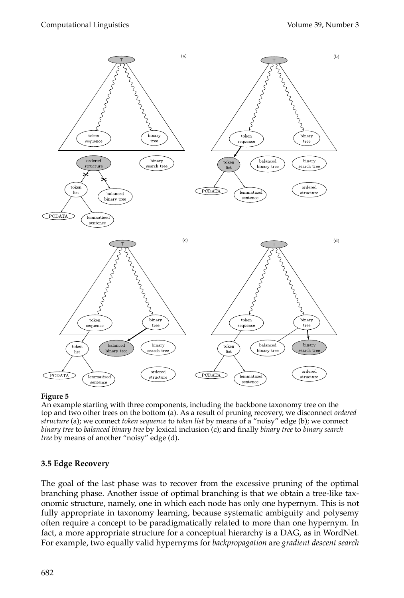

# **Figure 5**

An example starting with three components, including the backbone taxonomy tree on the top and two other trees on the bottom (a). As a result of pruning recovery, we disconnect *ordered structure* (a); we connect *token sequence* to *token list* by means of a "noisy" edge (b); we connect *binary tree* to *balanced binary tree* by lexical inclusion (c); and finally *binary tree* to *binary search tree* by means of another "noisy" edge (d).

# **3.5 Edge Recovery**

The goal of the last phase was to recover from the excessive pruning of the optimal branching phase. Another issue of optimal branching is that we obtain a tree-like taxonomic structure, namely, one in which each node has only one hypernym. This is not fully appropriate in taxonomy learning, because systematic ambiguity and polysemy often require a concept to be paradigmatically related to more than one hypernym. In fact, a more appropriate structure for a conceptual hierarchy is a DAG, as in WordNet. For example, two equally valid hypernyms for *backpropagation* are *gradient descent search*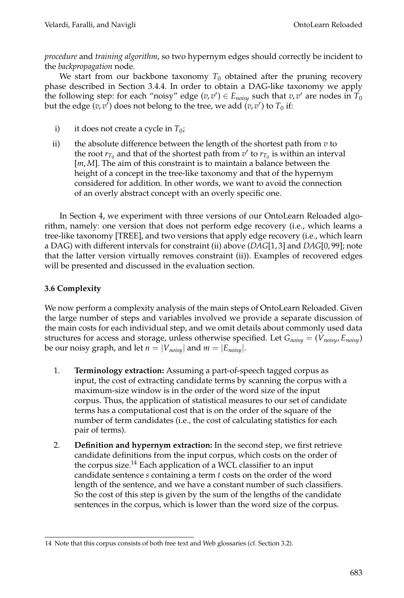*procedure* and *training algorithm*, so two hypernym edges should correctly be incident to the *backpropagation* node.

We start from our backbone taxonomy  $T_0$  obtained after the pruning recovery phase described in Section 3.4.4. In order to obtain a DAG-like taxonomy we apply the following step: for each "noisy" edge  $(v, v') \in E_{noisy}$  such that  $v, v'$  are nodes in  $T_0$ but the edge  $(v,v')$  does not belong to the tree, we add  $(v,v')$  to  $T_0$  if:

- i) it does not create a cycle in  $T_0$ ;
- ii) the absolute difference between the length of the shortest path from *v* to the root  $r_{T_0}$  and that of the shortest path from  $v'$  to  $r_{T_0}$  is within an interval [*m*, *M*]. The aim of this constraint is to maintain a balance between the height of a concept in the tree-like taxonomy and that of the hypernym considered for addition. In other words, we want to avoid the connection of an overly abstract concept with an overly specific one.

In Section 4, we experiment with three versions of our OntoLearn Reloaded algorithm, namely: one version that does not perform edge recovery (i.e., which learns a tree-like taxonomy [TREE], and two versions that apply edge recovery (i.e., which learn a DAG) with different intervals for constraint (ii) above (*DAG*[1, 3] and *DAG*[0, 99]; note that the latter version virtually removes constraint (ii)). Examples of recovered edges will be presented and discussed in the evaluation section.

# **3.6 Complexity**

We now perform a complexity analysis of the main steps of OntoLearn Reloaded. Given the large number of steps and variables involved we provide a separate discussion of the main costs for each individual step, and we omit details about commonly used data structures for access and storage, unless otherwise specified. Let *Gnoisy* = (*Vnoisy*, *Enoisy*) be our noisy graph, and let  $n = |V_{noisy}|$  and  $m = |E_{noisy}|$ .

- 1. **Terminology extraction:** Assuming a part-of-speech tagged corpus as input, the cost of extracting candidate terms by scanning the corpus with a maximum-size window is in the order of the word size of the input corpus. Thus, the application of statistical measures to our set of candidate terms has a computational cost that is on the order of the square of the number of term candidates (i.e., the cost of calculating statistics for each pair of terms).
- 2. **Definition and hypernym extraction:** In the second step, we first retrieve candidate definitions from the input corpus, which costs on the order of the corpus size.<sup>14</sup> Each application of a WCL classifier to an input candidate sentence *s* containing a term *t* costs on the order of the word length of the sentence, and we have a constant number of such classifiers. So the cost of this step is given by the sum of the lengths of the candidate sentences in the corpus, which is lower than the word size of the corpus.

<sup>14</sup> Note that this corpus consists of both free text and Web glossaries (cf. Section 3.2).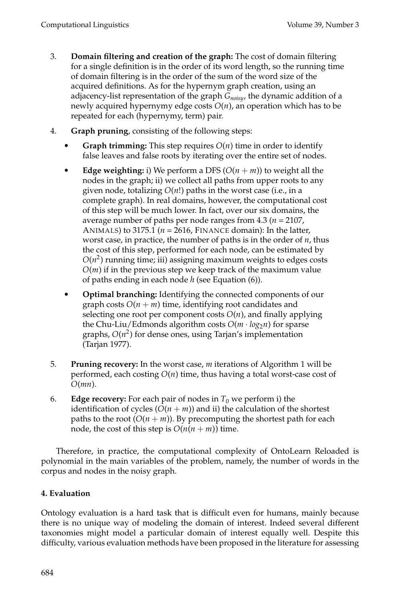- 3. **Domain filtering and creation of the graph:** The cost of domain filtering for a single definition is in the order of its word length, so the running time of domain filtering is in the order of the sum of the word size of the acquired definitions. As for the hypernym graph creation, using an adjacency-list representation of the graph *G<sub>noisy</sub>*, the dynamic addition of a newly acquired hypernymy edge costs *O*(*n*), an operation which has to be repeated for each (hypernymy, term) pair.
- 4. **Graph pruning**, consisting of the following steps:
	- **Graph trimming:** This step requires  $O(n)$  time in order to identify false leaves and false roots by iterating over the entire set of nodes.
	- **Edge weighting:** i) We perform a DFS  $(O(n + m))$  to weight all the nodes in the graph; ii) we collect all paths from upper roots to any given node, totalizing *O*(*n*!) paths in the worst case (i.e., in a complete graph). In real domains, however, the computational cost of this step will be much lower. In fact, over our six domains, the average number of paths per node ranges from 4.3 (*n* = 2107, ANIMALS) to 3175.1 (*n* = 2616, FINANCE domain): In the latter, worst case, in practice, the number of paths is in the order of *n*, thus the cost of this step, performed for each node, can be estimated by  $O(n^2)$  running time; iii) assigning maximum weights to edges costs *O*(*m*) if in the previous step we keep track of the maximum value of paths ending in each node *h* (see Equation (6)).
	- **Optimal branching:** Identifying the connected components of our graph costs  $O(n + m)$  time, identifying root candidates and selecting one root per component costs  $O(n)$ , and finally applying the Chu-Liu/Edmonds algorithm costs  $O(m \cdot log_2 n)$  for sparse graphs,  $O(n^2)$  for dense ones, using Tarjan's implementation (Tarjan 1977).
- 5. **Pruning recovery:** In the worst case, *m* iterations of Algorithm 1 will be performed, each costing *O*(*n*) time, thus having a total worst-case cost of *O*(*mn*).
- 6. **Edge recovery:** For each pair of nodes in  $T_0$  we perform i) the identification of cycles  $(O(n + m))$  and ii) the calculation of the shortest paths to the root  $(O(n + m))$ . By precomputing the shortest path for each node, the cost of this step is  $O(n(n+m))$  time.

Therefore, in practice, the computational complexity of OntoLearn Reloaded is polynomial in the main variables of the problem, namely, the number of words in the corpus and nodes in the noisy graph.

# **4. Evaluation**

Ontology evaluation is a hard task that is difficult even for humans, mainly because there is no unique way of modeling the domain of interest. Indeed several different taxonomies might model a particular domain of interest equally well. Despite this difficulty, various evaluation methods have been proposed in the literature for assessing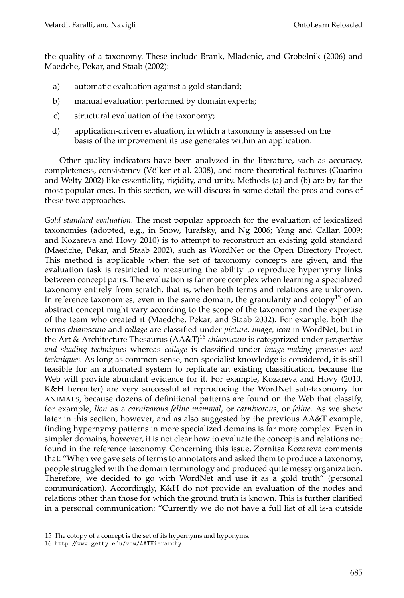the quality of a taxonomy. These include Brank, Mladenic, and Grobelnik (2006) and Maedche, Pekar, and Staab (2002):

- a) automatic evaluation against a gold standard;
- b) manual evaluation performed by domain experts;
- c) structural evaluation of the taxonomy;
- d) application-driven evaluation, in which a taxonomy is assessed on the basis of the improvement its use generates within an application.

Other quality indicators have been analyzed in the literature, such as accuracy, completeness, consistency (Volker et al. 2008), and more theoretical features (Guarino ¨ and Welty 2002) like essentiality, rigidity, and unity. Methods (a) and (b) are by far the most popular ones. In this section, we will discuss in some detail the pros and cons of these two approaches.

*Gold standard evaluation.* The most popular approach for the evaluation of lexicalized taxonomies (adopted, e.g., in Snow, Jurafsky, and Ng 2006; Yang and Callan 2009; and Kozareva and Hovy 2010) is to attempt to reconstruct an existing gold standard (Maedche, Pekar, and Staab 2002), such as WordNet or the Open Directory Project. This method is applicable when the set of taxonomy concepts are given, and the evaluation task is restricted to measuring the ability to reproduce hypernymy links between concept pairs. The evaluation is far more complex when learning a specialized taxonomy entirely from scratch, that is, when both terms and relations are unknown. In reference taxonomies, even in the same domain, the granularity and cotopy<sup>15</sup> of an abstract concept might vary according to the scope of the taxonomy and the expertise of the team who created it (Maedche, Pekar, and Staab 2002). For example, both the terms *chiaroscuro* and *collage* are classified under *picture, image, icon* in WordNet, but in the Art & Architecture Thesaurus (AA&T)<sup>16</sup> *chiaroscuro* is categorized under *perspective and shading techniques* whereas *collage* is classified under *image-making processes and techniques*. As long as common-sense, non-specialist knowledge is considered, it is still feasible for an automated system to replicate an existing classification, because the Web will provide abundant evidence for it. For example, Kozareva and Hovy (2010, K&H hereafter) are very successful at reproducing the WordNet sub-taxonomy for ANIMALS, because dozens of definitional patterns are found on the Web that classify, for example, *lion* as a *carnivorous feline mammal*, or *carnivorous*, or *feline*. As we show later in this section, however, and as also suggested by the previous AA&T example, finding hypernymy patterns in more specialized domains is far more complex. Even in simpler domains, however, it is not clear how to evaluate the concepts and relations not found in the reference taxonomy. Concerning this issue, Zornitsa Kozareva comments that: "When we gave sets of terms to annotators and asked them to produce a taxonomy, people struggled with the domain terminology and produced quite messy organization. Therefore, we decided to go with WordNet and use it as a gold truth" (personal communication). Accordingly, K&H do not provide an evaluation of the nodes and relations other than those for which the ground truth is known. This is further clarified in a personal communication: "Currently we do not have a full list of all is-a outside

<sup>15</sup> The cotopy of a concept is the set of its hypernyms and hyponyms.

<sup>16</sup> http://www.getty.edu/vow/AATHierarchy.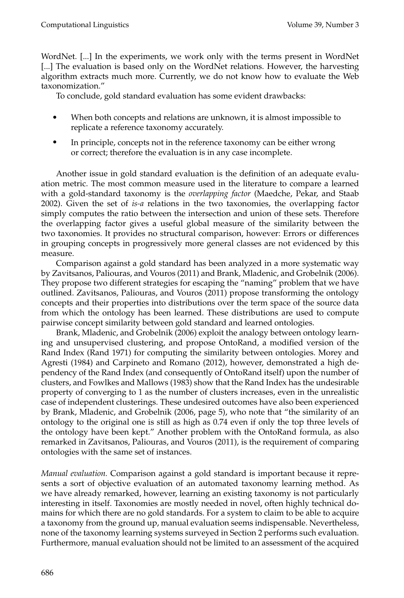WordNet. [...] In the experiments, we work only with the terms present in WordNet [...] The evaluation is based only on the WordNet relations. However, the harvesting algorithm extracts much more. Currently, we do not know how to evaluate the Web taxonomization."

To conclude, gold standard evaluation has some evident drawbacks:

- When both concepts and relations are unknown, it is almost impossible to replicate a reference taxonomy accurately.
- In principle, concepts not in the reference taxonomy can be either wrong or correct; therefore the evaluation is in any case incomplete.

Another issue in gold standard evaluation is the definition of an adequate evaluation metric. The most common measure used in the literature to compare a learned with a gold-standard taxonomy is the *overlapping factor* (Maedche, Pekar, and Staab 2002). Given the set of *is-a* relations in the two taxonomies, the overlapping factor simply computes the ratio between the intersection and union of these sets. Therefore the overlapping factor gives a useful global measure of the similarity between the two taxonomies. It provides no structural comparison, however: Errors or differences in grouping concepts in progressively more general classes are not evidenced by this measure.

Comparison against a gold standard has been analyzed in a more systematic way by Zavitsanos, Paliouras, and Vouros (2011) and Brank, Mladenic, and Grobelnik (2006). They propose two different strategies for escaping the "naming" problem that we have outlined. Zavitsanos, Paliouras, and Vouros (2011) propose transforming the ontology concepts and their properties into distributions over the term space of the source data from which the ontology has been learned. These distributions are used to compute pairwise concept similarity between gold standard and learned ontologies.

Brank, Mladenic, and Grobelnik (2006) exploit the analogy between ontology learning and unsupervised clustering, and propose OntoRand, a modified version of the Rand Index (Rand 1971) for computing the similarity between ontologies. Morey and Agresti (1984) and Carpineto and Romano (2012), however, demonstrated a high dependency of the Rand Index (and consequently of OntoRand itself) upon the number of clusters, and Fowlkes and Mallows (1983) show that the Rand Index has the undesirable property of converging to 1 as the number of clusters increases, even in the unrealistic case of independent clusterings. These undesired outcomes have also been experienced by Brank, Mladenic, and Grobelnik (2006, page 5), who note that "the similarity of an ontology to the original one is still as high as 0.74 even if only the top three levels of the ontology have been kept." Another problem with the OntoRand formula, as also remarked in Zavitsanos, Paliouras, and Vouros (2011), is the requirement of comparing ontologies with the same set of instances.

*Manual evaluation.* Comparison against a gold standard is important because it represents a sort of objective evaluation of an automated taxonomy learning method. As we have already remarked, however, learning an existing taxonomy is not particularly interesting in itself. Taxonomies are mostly needed in novel, often highly technical domains for which there are no gold standards. For a system to claim to be able to acquire a taxonomy from the ground up, manual evaluation seems indispensable. Nevertheless, none of the taxonomy learning systems surveyed in Section 2 performs such evaluation. Furthermore, manual evaluation should not be limited to an assessment of the acquired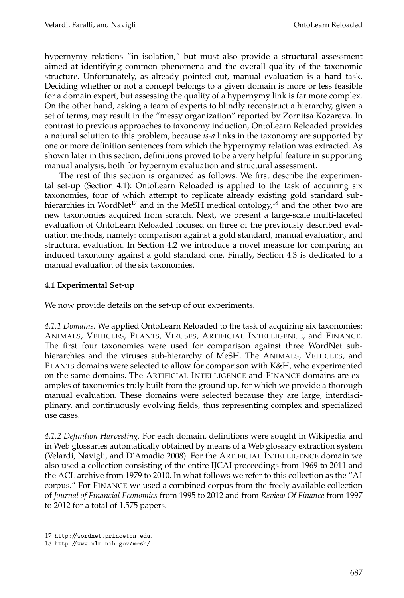hypernymy relations "in isolation," but must also provide a structural assessment aimed at identifying common phenomena and the overall quality of the taxonomic structure. Unfortunately, as already pointed out, manual evaluation is a hard task. Deciding whether or not a concept belongs to a given domain is more or less feasible for a domain expert, but assessing the quality of a hypernymy link is far more complex. On the other hand, asking a team of experts to blindly reconstruct a hierarchy, given a set of terms, may result in the "messy organization" reported by Zornitsa Kozareva. In contrast to previous approaches to taxonomy induction, OntoLearn Reloaded provides a natural solution to this problem, because *is-a* links in the taxonomy are supported by one or more definition sentences from which the hypernymy relation was extracted. As shown later in this section, definitions proved to be a very helpful feature in supporting manual analysis, both for hypernym evaluation and structural assessment.

The rest of this section is organized as follows. We first describe the experimental set-up (Section 4.1): OntoLearn Reloaded is applied to the task of acquiring six taxonomies, four of which attempt to replicate already existing gold standard subhierarchies in WordNet<sup>17</sup> and in the MeSH medical ontology,<sup>18</sup> and the other two are new taxonomies acquired from scratch. Next, we present a large-scale multi-faceted evaluation of OntoLearn Reloaded focused on three of the previously described evaluation methods, namely: comparison against a gold standard, manual evaluation, and structural evaluation. In Section 4.2 we introduce a novel measure for comparing an induced taxonomy against a gold standard one. Finally, Section 4.3 is dedicated to a manual evaluation of the six taxonomies.

# **4.1 Experimental Set-up**

We now provide details on the set-up of our experiments.

*4.1.1 Domains.* We applied OntoLearn Reloaded to the task of acquiring six taxonomies: ANIMALS, VEHICLES, PLANTS, VIRUSES, ARTIFICIAL INTELLIGENCE, and FINANCE. The first four taxonomies were used for comparison against three WordNet subhierarchies and the viruses sub-hierarchy of MeSH. The ANIMALS, VEHICLES, and PLANTS domains were selected to allow for comparison with K&H, who experimented on the same domains. The ARTIFICIAL INTELLIGENCE and FINANCE domains are examples of taxonomies truly built from the ground up, for which we provide a thorough manual evaluation. These domains were selected because they are large, interdisciplinary, and continuously evolving fields, thus representing complex and specialized use cases.

*4.1.2 Definition Harvesting.* For each domain, definitions were sought in Wikipedia and in Web glossaries automatically obtained by means of a Web glossary extraction system (Velardi, Navigli, and D'Amadio 2008). For the ARTIFICIAL INTELLIGENCE domain we also used a collection consisting of the entire IJCAI proceedings from 1969 to 2011 and the ACL archive from 1979 to 2010. In what follows we refer to this collection as the "AI corpus." For FINANCE we used a combined corpus from the freely available collection of *Journal of Financial Economics* from 1995 to 2012 and from *Review Of Finance* from 1997 to 2012 for a total of 1,575 papers.

<sup>17</sup> http://wordnet.princeton.edu.

<sup>18</sup> http://www.nlm.nih.gov/mesh/.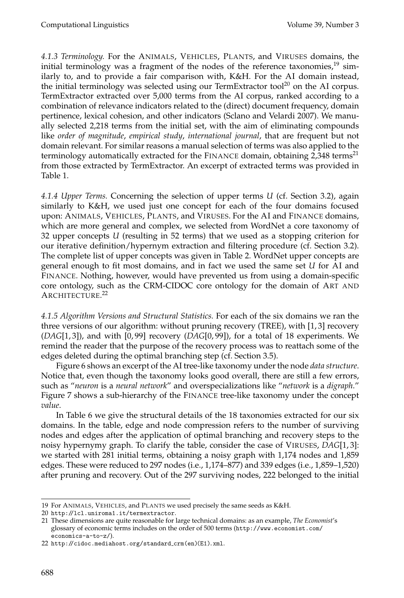*4.1.3 Terminology.* For the ANIMALS, VEHICLES, PLANTS, and VIRUSES domains, the initial terminology was a fragment of the nodes of the reference taxonomies,<sup>19</sup> similarly to, and to provide a fair comparison with, K&H. For the AI domain instead, the initial terminology was selected using our TermExtractor tool<sup>20</sup> on the AI corpus. TermExtractor extracted over 5,000 terms from the AI corpus, ranked according to a combination of relevance indicators related to the (direct) document frequency, domain pertinence, lexical cohesion, and other indicators (Sclano and Velardi 2007). We manually selected 2,218 terms from the initial set, with the aim of eliminating compounds like *order of magnitude*, *empirical study*, *international journal*, that are frequent but not domain relevant. For similar reasons a manual selection of terms was also applied to the terminology automatically extracted for the FINANCE domain, obtaining  $2,348$  terms<sup>21</sup> from those extracted by TermExtractor. An excerpt of extracted terms was provided in Table 1.

*4.1.4 Upper Terms.* Concerning the selection of upper terms *U* (cf. Section 3.2), again similarly to K&H, we used just one concept for each of the four domains focused upon: ANIMALS, VEHICLES, PLANTS, and VIRUSES. For the AI and FINANCE domains, which are more general and complex, we selected from WordNet a core taxonomy of 32 upper concepts *U* (resulting in 52 terms) that we used as a stopping criterion for our iterative definition/hypernym extraction and filtering procedure (cf. Section 3.2). The complete list of upper concepts was given in Table 2. WordNet upper concepts are general enough to fit most domains, and in fact we used the same set *U* for AI and FINANCE. Nothing, however, would have prevented us from using a domain-specific core ontology, such as the CRM-CIDOC core ontology for the domain of ART AND ARCHITECTURE.<sup>22</sup>

*4.1.5 Algorithm Versions and Structural Statistics.* For each of the six domains we ran the three versions of our algorithm: without pruning recovery (TREE), with [1, 3] recovery (*DAG*[1, 3]), and with [0, 99] recovery (*DAG*[0, 99]), for a total of 18 experiments. We remind the reader that the purpose of the recovery process was to reattach some of the edges deleted during the optimal branching step (cf. Section 3.5).

Figure 6 shows an excerpt of the AI tree-like taxonomy under the node *data structure*. Notice that, even though the taxonomy looks good overall, there are still a few errors, such as "*neuron* is a *neural network*" and overspecializations like "*network* is a *digraph*." Figure 7 shows a sub-hierarchy of the FINANCE tree-like taxonomy under the concept *value*.

In Table 6 we give the structural details of the 18 taxonomies extracted for our six domains. In the table, edge and node compression refers to the number of surviving nodes and edges after the application of optimal branching and recovery steps to the noisy hypernymy graph. To clarify the table, consider the case of VIRUSES, *DAG*[1, 3]: we started with 281 initial terms, obtaining a noisy graph with 1,174 nodes and 1,859 edges. These were reduced to 297 nodes (i.e., 1,174–877) and 339 edges (i.e., 1,859–1,520) after pruning and recovery. Out of the 297 surviving nodes, 222 belonged to the initial

<sup>19</sup> For ANIMALS, VEHICLES, and PLANTS we used precisely the same seeds as K&H.

<sup>20</sup> http://lcl.uniroma1.it/termextractor.

<sup>21</sup> These dimensions are quite reasonable for large technical domains: as an example, *The Economist*'s glossary of economic terms includes on the order of 500 terms (http://www.economist.com/ economics-a-to-z/).

<sup>22</sup> http://cidoc.mediahost.org/standard crm(en)(E1).xml.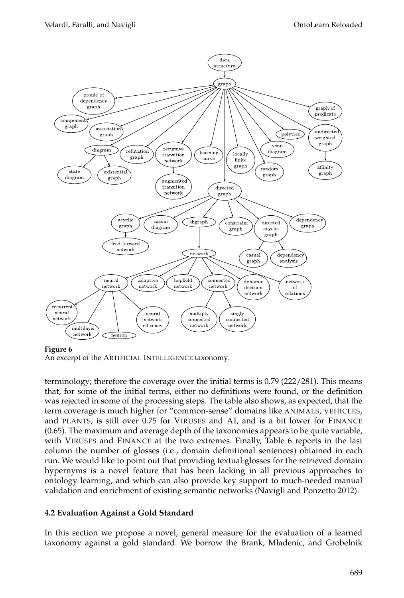

**Figure 6**

An excerpt of the ARTIFICIAL INTELLIGENCE taxonomy.

terminology; therefore the coverage over the initial terms is 0.79 (222/281). This means that, for some of the initial terms, either no definitions were found, or the definition was rejected in some of the processing steps. The table also shows, as expected, that the term coverage is much higher for "common-sense" domains like ANIMALS, VEHICLES, and PLANTS, is still over 0.75 for VIRUSES and AI, and is a bit lower for FINANCE (0.65). The maximum and average depth of the taxonomies appears to be quite variable, with VIRUSES and FINANCE at the two extremes. Finally, Table 6 reports in the last column the number of glosses (i.e., domain definitional sentences) obtained in each run. We would like to point out that providing textual glosses for the retrieved domain hypernyms is a novel feature that has been lacking in all previous approaches to ontology learning, and which can also provide key support to much-needed manual validation and enrichment of existing semantic networks (Navigli and Ponzetto 2012).

# **4.2 Evaluation Against a Gold Standard**

In this section we propose a novel, general measure for the evaluation of a learned taxonomy against a gold standard. We borrow the Brank, Mladenic, and Grobelnik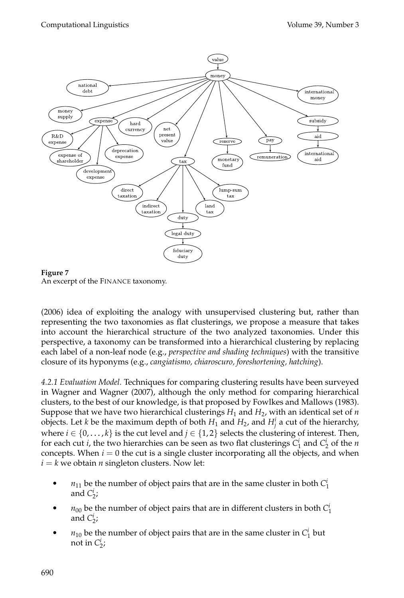

#### **Figure 7** An excerpt of the FINANCE taxonomy.

(2006) idea of exploiting the analogy with unsupervised clustering but, rather than representing the two taxonomies as flat clusterings, we propose a measure that takes into account the hierarchical structure of the two analyzed taxonomies. Under this perspective, a taxonomy can be transformed into a hierarchical clustering by replacing each label of a non-leaf node (e.g., *perspective and shading techniques*) with the transitive closure of its hyponyms (e.g., *cangiatismo, chiaroscuro, foreshortening, hatching*).

*4.2.1 Evaluation Model.* Techniques for comparing clustering results have been surveyed in Wagner and Wagner (2007), although the only method for comparing hierarchical clusters, to the best of our knowledge, is that proposed by Fowlkes and Mallows (1983). Suppose that we have two hierarchical clusterings  $H_1$  and  $H_2$ , with an identical set of  $n$ objects. Let *k* be the maximum depth of both  $H_1$  and  $H_2$ , and  $H_j^i$  a cut of the hierarchy, where  $i \in \{0, \ldots, k\}$  is the cut level and  $j \in \{1, 2\}$  selects the clustering of interest. Then, for each cut *i*, the two hierarchies can be seen as two flat clusterings  $C_1^i$  and  $C_2^i$  of the *n* concepts. When  $i = 0$  the cut is a single cluster incorporating all the objects, and when  $i = k$  we obtain *n* singleton clusters. Now let:

- *n*<sub>11</sub> be the number of object pairs that are in the same cluster in both  $C_1^i$ and *Ci* 2;
- *n*<sub>00</sub> be the number of object pairs that are in different clusters in both  $C_1^i$ and *Ci* 2;
- *n*<sub>10</sub> be the number of object pairs that are in the same cluster in  $C_1^i$  but not in *Ci* 2;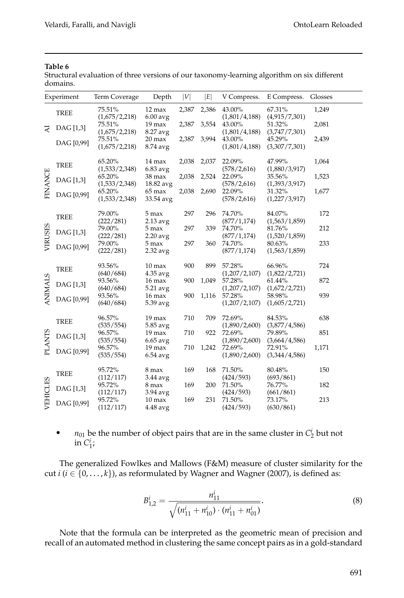Structural evaluation of three versions of our taxonomy-learning algorithm on six different domains.

|                | Experiment  | Term Coverage           | Depth                          | V     | E     | V Compress.             | E Compress.             | Glosses |
|----------------|-------------|-------------------------|--------------------------------|-------|-------|-------------------------|-------------------------|---------|
|                | <b>TREE</b> | 75.51%<br>(1,675/2,218) | 12 max<br>$6.00$ avg           | 2,387 | 2,386 | 43.00%<br>(1,801/4,188) | 67.31%<br>(4,915/7,301) | 1,249   |
| 보              | DAG [1,3]   | 75.51%<br>(1,675/2,218) | $19$ max<br>8.27 avg           | 2,387 | 3,554 | 43.00%<br>(1,801/4,188) | 51.32%<br>(3,747/7,301) | 2,081   |
|                | DAG [0,99]  | 75.51%<br>(1,675/2,218) | 20 max<br>8.74 avg             | 2,387 | 3,994 | 43.00%<br>(1,801/4,188) | 45.29%<br>(3,307/7,301) | 2,439   |
|                | <b>TREE</b> | 65.20%<br>(1,533/2,348) | 14 max<br>6.83 avg             | 2,038 | 2,037 | 22.09%<br>(578/2,616)   | 47.99%<br>(1,880/3,917) | 1,064   |
| <b>FINANCE</b> | DAG [1,3]   | 65.20%<br>(1,533/2,348) | 38 max<br>18.82 avg            | 2,038 | 2,524 | 22.09%<br>(578/2,616)   | 35.56%<br>(1,393/3,917) | 1,523   |
|                | DAG [0,99]  | 65.20%<br>(1,533/2,348) | 65 max<br>33.54 avg            | 2,038 | 2,690 | 22.09%<br>(578/2,616)   | 31.32%<br>(1,227/3,917) | 1,677   |
|                | <b>TREE</b> | 79.00%<br>(222/281)     | 5 <sub>max</sub><br>$2.13$ avg | 297   | 296   | 74.70%<br>(877/1, 174)  | 84.07%<br>(1,563/1,859) | 172     |
| VIRUSES        | DAG [1,3]   | 79.00%<br>(222/281)     | 5 <sub>max</sub><br>$2.20$ avg | 297   | 339   | 74.70%<br>(877/1,174)   | 81.76%<br>(1,520/1,859) | 212     |
|                | DAG [0,99]  | 79.00%<br>(222/281)     | 5 <sub>max</sub><br>2.32 avg   | 297   | 360   | 74.70%<br>(877/1,174)   | 80.63%<br>(1,563/1,859) | 233     |
|                | <b>TREE</b> | 93.56%<br>(640/684)     | $10 \text{ max}$<br>$4.35$ avg | 900   | 899   | 57.28%<br>(1,207/2,107) | 66.96%<br>(1,822/2,721) | 724     |
| <b>STANINY</b> | DAG [1,3]   | 93.56%<br>(640/684)     | $16 \text{ max}$<br>5.21 avg   | 900   | 1,049 | 57.28%<br>(1,207/2,107) | 61.44%<br>(1,672/2,721) | 872     |
|                | DAG [0,99]  | 93.56%<br>(640/684)     | $16 \text{ max}$<br>5.39 avg   | 900   | 1,116 | 57.28%<br>(1,207/2,107) | 58.98%<br>(1,605/2,721) | 939     |
|                | <b>TREE</b> | 96.57%<br>(535/554)     | $19$ max<br>5.85 avg           | 710   | 709   | 72.69%<br>(1,890/2,600) | 84.53%<br>(3,877/4,586) | 638     |
| <b>PLANTS</b>  | DAG [1,3]   | 96.57%<br>(535/554)     | $19 \text{ max}$<br>$6.65$ avg | 710   | 922   | 72.69%<br>(1,890/2,600) | 79.89%<br>(3,664/4,586) | 851     |
|                | DAG [0,99]  | 96.57%<br>(535/554)     | $19$ max<br>$6.54$ avg         | 710   | 1,242 | 72.69%<br>(1,890/2,600) | 72.91%<br>(3,344/4,586) | 1,171   |
|                | <b>TREE</b> | 95.72%<br>(112/117)     | 8 max<br>$3.44$ avg            | 169   | 168   | 71.50%<br>(424/593)     | 80.48%<br>(693/861)     | 150     |
| VEHICLES       | DAG [1,3]   | 95.72%<br>(112/117)     | 8 max<br>$3.94$ avg            | 169   | 200   | 71.50%<br>(424/593)     | 76.77%<br>(661/861)     | 182     |
|                | DAG [0,99]  | 95.72%<br>(112/117)     | $10 \text{ max}$<br>4.48 avg   | 169   | 231   | 71.50%<br>(424/593)     | 73.17%<br>(630/861)     | 213     |

# *n*<sub>01</sub> be the number of object pairs that are in the same cluster in  $C_2^i$  but not in  $C_1^i$ ;

The generalized Fowlkes and Mallows (F&M) measure of cluster similarity for the cut  $i$  ( $i \in \{0, ..., k\}$ ), as reformulated by Wagner and Wagner (2007), is defined as:

$$
B_{1,2}^i = \frac{n_{11}^i}{\sqrt{(n_{11}^i + n_{10}^i) \cdot (n_{11}^i + n_{01}^i)}}.
$$
\n(8)

Note that the formula can be interpreted as the geometric mean of precision and recall of an automated method in clustering the same concept pairs as in a gold-standard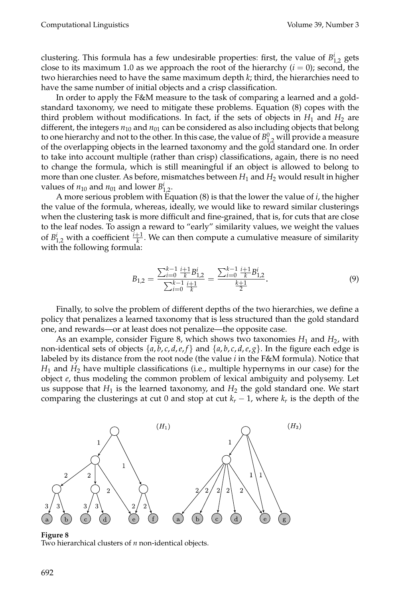clustering. This formula has a few undesirable properties: first, the value of  $B_{1,2}^i$  gets close to its maximum 1.0 as we approach the root of the hierarchy  $(i = 0)$ ; second, the two hierarchies need to have the same maximum depth *k*; third, the hierarchies need to have the same number of initial objects and a crisp classification.

In order to apply the F&M measure to the task of comparing a learned and a goldstandard taxonomy, we need to mitigate these problems. Equation (8) copes with the third problem without modifications. In fact, if the sets of objects in  $H_1$  and  $H_2$  are different, the integers  $n_{10}$  and  $n_{01}$  can be considered as also including objects that belong to one hierarchy and not to the other. In this case, the value of  $B_{1,2}^0$  will provide a measure of the overlapping objects in the learned taxonomy and the gold standard one. In order to take into account multiple (rather than crisp) classifications, again, there is no need to change the formula, which is still meaningful if an object is allowed to belong to more than one cluster. As before, mismatches between  $H_1$  and  $H_2$  would result in higher values of  $n_{10}$  and  $n_{01}$  and lower  $B_{1,2}^i$ .

A more serious problem with Equation (8) is that the lower the value of *i*, the higher the value of the formula, whereas, ideally, we would like to reward similar clusterings when the clustering task is more difficult and fine-grained, that is, for cuts that are close to the leaf nodes. To assign a reward to "early" similarity values, we weight the values of  $B_{1,2}^i$  with a coefficient  $\frac{i+1}{k}$ . We can then compute a cumulative measure of similarity with the following formula:

$$
B_{1,2} = \frac{\sum_{i=0}^{k-1} \frac{i+1}{k} B_{1,2}^i}{\sum_{i=0}^{k-1} \frac{i+1}{k}} = \frac{\sum_{i=0}^{k-1} \frac{i+1}{k} B_{1,2}^i}{\frac{k+1}{2}}.
$$
(9)

Finally, to solve the problem of different depths of the two hierarchies, we define a policy that penalizes a learned taxonomy that is less structured than the gold standard one, and rewards—or at least does not penalize—the opposite case.

As an example, consider Figure 8, which shows two taxonomies *H*<sup>1</sup> and *H*2, with non-identical sets of objects  $\{a, b, c, d, e, f\}$  and  $\{a, b, c, d, e, g\}$ . In the figure each edge is labeled by its distance from the root node (the value *i* in the F&M formula). Notice that *H*<sup>1</sup> and *H*<sup>2</sup> have multiple classifications (i.e., multiple hypernyms in our case) for the object *e*, thus modeling the common problem of lexical ambiguity and polysemy. Let us suppose that  $H_1$  is the learned taxonomy, and  $H_2$  the gold standard one. We start comparing the clusterings at cut 0 and stop at cut  $k_r - 1$ , where  $k_r$  is the depth of the



**Figure 8**

Two hierarchical clusters of *n* non-identical objects.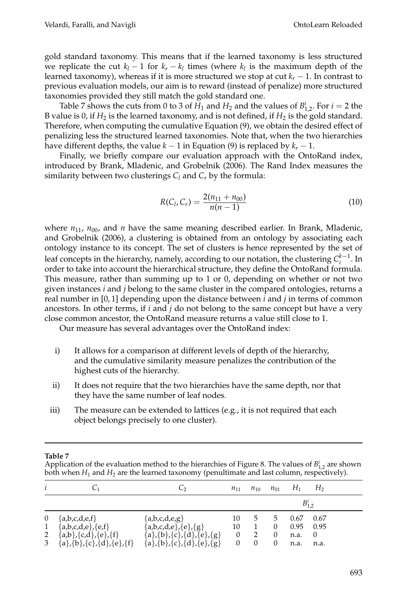gold standard taxonomy. This means that if the learned taxonomy is less structured we replicate the cut  $k_l - 1$  for  $k_r - k_l$  times (where  $k_l$  is the maximum depth of the learned taxonomy), whereas if it is more structured we stop at cut  $k_r - 1$ . In contrast to previous evaluation models, our aim is to reward (instead of penalize) more structured taxonomies provided they still match the gold standard one.

Table 7 shows the cuts from 0 to 3 of  $H_1$  and  $H_2$  and the values of  $B_{1,2}^i$ . For  $i = 2$  the B value is 0, if  $H_2$  is the learned taxonomy, and is not defined, if  $H_2$  is the gold standard. Therefore, when computing the cumulative Equation (9), we obtain the desired effect of penalizing less the structured learned taxonomies. Note that, when the two hierarchies have different depths, the value  $k - 1$  in Equation (9) is replaced by  $k_r - 1$ .

Finally, we briefly compare our evaluation approach with the OntoRand index, introduced by Brank, Mladenic, and Grobelnik (2006). The Rand Index measures the similarity between two clusterings  $C_l$  and  $C_r$  by the formula:

$$
R(C_l, C_r) = \frac{2(n_{11} + n_{00})}{n(n-1)}
$$
\n(10)

where  $n_{11}$ ,  $n_{00}$ , and *n* have the same meaning described earlier. In Brank, Mladenic, and Grobelnik (2006), a clustering is obtained from an ontology by associating each ontology instance to its concept. The set of clusters is hence represented by the set of leaf concepts in the hierarchy, namely, according to our notation, the clustering  $C_i^{k-1}$ . In order to take into account the hierarchical structure, they define the OntoRand formula. This measure, rather than summing up to 1 or 0, depending on whether or not two given instances *i* and *j* belong to the same cluster in the compared ontologies, returns a real number in [0, 1] depending upon the distance between *i* and *j* in terms of common ancestors. In other terms, if *i* and *j* do not belong to the same concept but have a very close common ancestor, the OntoRand measure returns a value still close to 1.

Our measure has several advantages over the OntoRand index:

- i) It allows for a comparison at different levels of depth of the hierarchy, and the cumulative similarity measure penalizes the contribution of the highest cuts of the hierarchy.
- ii) It does not require that the two hierarchies have the same depth, nor that they have the same number of leaf nodes.
- iii) The measure can be extended to lattices (e.g., it is not required that each object belongs precisely to one cluster).

**Table 7**

Application of the evaluation method to the hierarchies of Figure 8. The values of  $B_{1,2}^i$  are shown both when  $H_1$  and  $H_2$  are the learned taxonomy (penultimate and last column, respectively).

| i                                        |                                                                                                                           |                                                                                                                                  | $n_{11}$           | $n_{10}$                | $n_{01}$                | $H_1$                        | H <sub>2</sub>                   |  |
|------------------------------------------|---------------------------------------------------------------------------------------------------------------------------|----------------------------------------------------------------------------------------------------------------------------------|--------------------|-------------------------|-------------------------|------------------------------|----------------------------------|--|
|                                          |                                                                                                                           |                                                                                                                                  |                    |                         |                         | $B_1^i$ ,                    |                                  |  |
| $\overline{0}$<br>1<br>2<br>$\mathbf{3}$ | ${a,b,c,d,e,f}$<br>${a,b,c,d,e}, {e,f}$<br>$\{a,b\}, \{c,d\}, \{e\}, \{f\}$<br>$\{a\}, \{b\}, \{c\}, \{d\}, \{e\}, \{f\}$ | ${a,b,c,d,e,g}$<br>$\{a,b,c,d,e\},\{e\},\{g\}$<br>$\{a\},\{b\},\{c\},\{d\},\{e\},\{g\}$<br>$\{a\},\{b\},\{c\},\{d\},\{e\},\{g\}$ | 10<br>10<br>0<br>0 | $5^{\circ}$<br>$\theta$ | 5<br>0<br>0<br>$\theta$ | 0.67<br>0.95<br>n.a.<br>n.a. | 0.67<br>0.95<br>$\theta$<br>n.a. |  |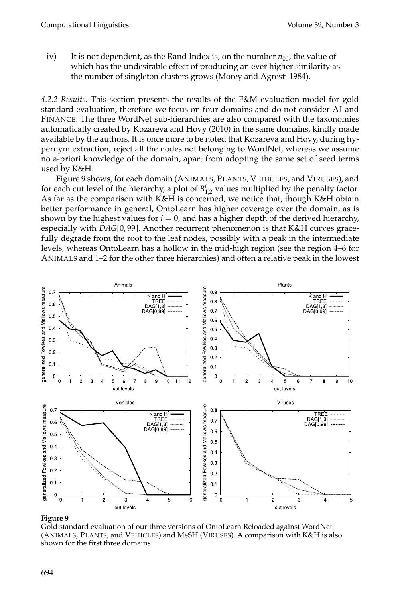iv) It is not dependent, as the Rand Index is, on the number  $n_{00}$ , the value of which has the undesirable effect of producing an ever higher similarity as the number of singleton clusters grows (Morey and Agresti 1984).

*4.2.2 Results.* This section presents the results of the F&M evaluation model for gold standard evaluation, therefore we focus on four domains and do not consider AI and FINANCE. The three WordNet sub-hierarchies are also compared with the taxonomies automatically created by Kozareva and Hovy (2010) in the same domains, kindly made available by the authors. It is once more to be noted that Kozareva and Hovy, during hypernym extraction, reject all the nodes not belonging to WordNet, whereas we assume no a-priori knowledge of the domain, apart from adopting the same set of seed terms used by K&H.

Figure 9 shows, for each domain (ANIMALS, PLANTS, VEHICLES, and VIRUSES), and for each cut level of the hierarchy, a plot of  $B_{1,2}^i$  values multiplied by the penalty factor. As far as the comparison with K&H is concerned, we notice that, though K&H obtain better performance in general, OntoLearn has higher coverage over the domain, as is shown by the highest values for  $i = 0$ , and has a higher depth of the derived hierarchy, especially with *DAG*[0, 99]. Another recurrent phenomenon is that K&H curves gracefully degrade from the root to the leaf nodes, possibly with a peak in the intermediate levels, whereas OntoLearn has a hollow in the mid-high region (see the region 4–6 for ANIMALS and 1–2 for the other three hierarchies) and often a relative peak in the lowest



#### **Figure 9**

Gold standard evaluation of our three versions of OntoLearn Reloaded against WordNet (ANIMALS, PLANTS, and VEHICLES) and MeSH (VIRUSES). A comparison with K&H is also shown for the first three domains.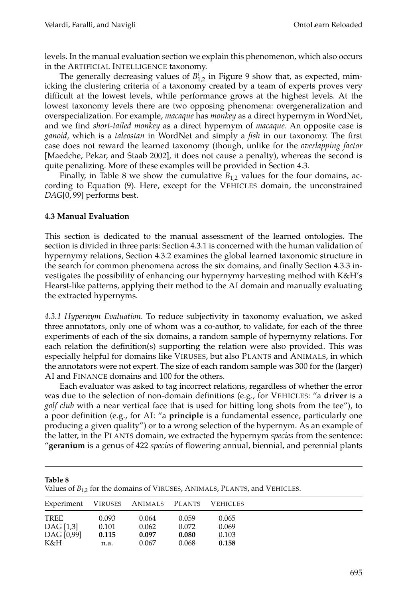levels. In the manual evaluation section we explain this phenomenon, which also occurs in the ARTIFICIAL INTELLIGENCE taxonomy.

The generally decreasing values of  $B_{1,2}^i$  in Figure 9 show that, as expected, mimicking the clustering criteria of a taxonomy created by a team of experts proves very difficult at the lowest levels, while performance grows at the highest levels. At the lowest taxonomy levels there are two opposing phenomena: overgeneralization and overspecialization. For example, *macaque* has *monkey* as a direct hypernym in WordNet, and we find *short-tailed monkey* as a direct hypernym of *macaque*. An opposite case is *ganoid*, which is a *taleostan* in WordNet and simply a *fish* in our taxonomy. The first case does not reward the learned taxonomy (though, unlike for the *overlapping factor* [Maedche, Pekar, and Staab 2002], it does not cause a penalty), whereas the second is quite penalizing. More of these examples will be provided in Section 4.3.

Finally, in Table 8 we show the cumulative  $B_{1,2}$  values for the four domains, according to Equation (9). Here, except for the VEHICLES domain, the unconstrained *DAG*[0, 99] performs best.

# **4.3 Manual Evaluation**

This section is dedicated to the manual assessment of the learned ontologies. The section is divided in three parts: Section 4.3.1 is concerned with the human validation of hypernymy relations, Section 4.3.2 examines the global learned taxonomic structure in the search for common phenomena across the six domains, and finally Section 4.3.3 investigates the possibility of enhancing our hypernymy harvesting method with K&H's Hearst-like patterns, applying their method to the AI domain and manually evaluating the extracted hypernyms.

*4.3.1 Hypernym Evaluation.* To reduce subjectivity in taxonomy evaluation, we asked three annotators, only one of whom was a co-author, to validate, for each of the three experiments of each of the six domains, a random sample of hypernymy relations. For each relation the definition(s) supporting the relation were also provided. This was especially helpful for domains like VIRUSES, but also PLANTS and ANIMALS, in which the annotators were not expert. The size of each random sample was 300 for the (larger) AI and FINANCE domains and 100 for the others.

Each evaluator was asked to tag incorrect relations, regardless of whether the error was due to the selection of non-domain definitions (e.g., for VEHICLES: "a **driver** is a *golf club* with a near vertical face that is used for hitting long shots from the tee"), to a poor definition (e.g., for AI: "a **principle** is a fundamental essence, particularly one producing a given quality") or to a wrong selection of the hypernym. As an example of the latter, in the PLANTS domain, we extracted the hypernym *species* from the sentence: "**geranium** is a genus of 422 *species* of flowering annual, biennial, and perennial plants

| Table 8<br>Values of $B_{1,2}$ for the domains of VIRUSES, ANIMALS, PLANTS, and VEHICLES. |       |       |       |                 |  |  |  |  |  |  |
|-------------------------------------------------------------------------------------------|-------|-------|-------|-----------------|--|--|--|--|--|--|
| Experiment VIRUSES ANIMALS PLANTS                                                         |       |       |       | <b>VEHICLES</b> |  |  |  |  |  |  |
| TREE                                                                                      | 0.093 | 0.064 | 0.059 | 0.065           |  |  |  |  |  |  |
| DAG [1,3]                                                                                 | 0.101 | 0.062 | 0.072 | 0.069           |  |  |  |  |  |  |
| DAG [0,99]                                                                                | 0.115 | 0.097 | 0.080 | 0.103           |  |  |  |  |  |  |
| K&H                                                                                       | n.a.  | 0.067 | 0.068 | 0.158           |  |  |  |  |  |  |

695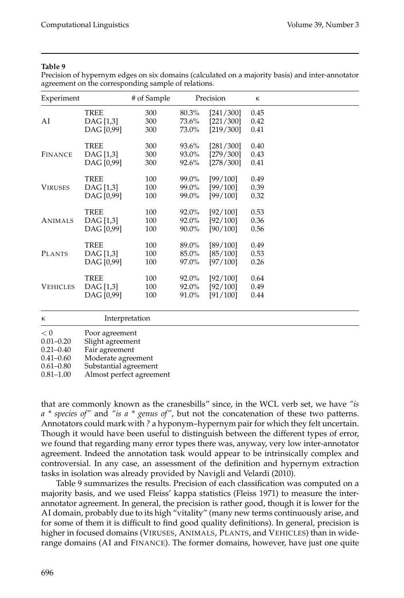Precision of hypernym edges on six domains (calculated on a majority basis) and inter-annotator agreement on the corresponding sample of relations.

| κ    | Precision                        |       | # of Sample    |                                     | Experiment      |
|------|----------------------------------|-------|----------------|-------------------------------------|-----------------|
| 0.45 | [241/300]                        | 80.3% | 300            | TREE                                |                 |
| 0.42 | [221/300]                        | 73.6% | 300            | DAG [1,3]                           | AI              |
| 0.41 | [219/300]                        | 73.0% | 300            | DAG [0,99]                          |                 |
| 0.40 | [281/300]                        | 93.6% | 300            | <b>TREE</b>                         |                 |
| 0.43 | [279/300]                        | 93.0% | 300            | DAG [1,3]                           | <b>FINANCE</b>  |
| 0.41 | [278/300]                        | 92.6% | 300            | DAG [0,99]                          |                 |
| 0.49 | [99/100]                         | 99.0% | 100            | <b>TREE</b>                         |                 |
| 0.39 | [99/100]                         | 99.0% | 100            |                                     | <b>VIRUSES</b>  |
| 0.32 | [99/100]                         | 99.0% | 100            | DAG [0,99]                          |                 |
| 0.53 | [92/100]                         | 92.0% | 100            | TREE                                |                 |
| 0.36 | [92/100]                         | 92.0% | 100            | DAG [1,3]                           | <b>ANIMALS</b>  |
| 0.56 | [90/100]                         | 90.0% | 100            | DAG [0,99]                          |                 |
| 0.49 |                                  | 89.0% | 100            | <b>TREE</b>                         |                 |
| 0.53 |                                  | 85.0% | 100            |                                     | <b>PLANTS</b>   |
| 0.26 | [97/100]                         | 97.0% | 100            | DAG [0,99]                          |                 |
| 0.64 | [92/100]                         | 92.0% | 100            | <b>TREE</b>                         |                 |
| 0.49 |                                  | 92.0% | 100            |                                     | <b>VEHICLES</b> |
| 0.44 | [91/100]                         | 91.0% | 100            | DAG [0,99]                          |                 |
|      |                                  |       | Interpretation |                                     | κ               |
|      | [89/100]<br>[85/100]<br>[92/100] |       |                | DAG [1,3]<br>DAG [1,3]<br>DAG [1,3] |                 |

 $< 0$  Poor agreement<br> $0.01 - 0.20$  Slight agreement

0.01–0.20 Slight agreement Fair agreement

0.41–0.60 Moderate agreement

0.61–0.80 Substantial agreement<br>0.81–1.00 Almost perfect agreem Almost perfect agreement

that are commonly known as the cranesbills" since, in the WCL verb set, we have *"is a \* species of"* and *"is a \* genus of"*, but not the concatenation of these two patterns. Annotators could mark with *?* a hyponym–hypernym pair for which they felt uncertain. Though it would have been useful to distinguish between the different types of error, we found that regarding many error types there was, anyway, very low inter-annotator agreement. Indeed the annotation task would appear to be intrinsically complex and controversial. In any case, an assessment of the definition and hypernym extraction tasks in isolation was already provided by Navigli and Velardi (2010).

Table 9 summarizes the results. Precision of each classification was computed on a majority basis, and we used Fleiss' kappa statistics (Fleiss 1971) to measure the interannotator agreement. In general, the precision is rather good, though it is lower for the AI domain, probably due to its high "vitality" (many new terms continuously arise, and for some of them it is difficult to find good quality definitions). In general, precision is higher in focused domains (VIRUSES, ANIMALS, PLANTS, and VEHICLES) than in widerange domains (AI and FINANCE). The former domains, however, have just one quite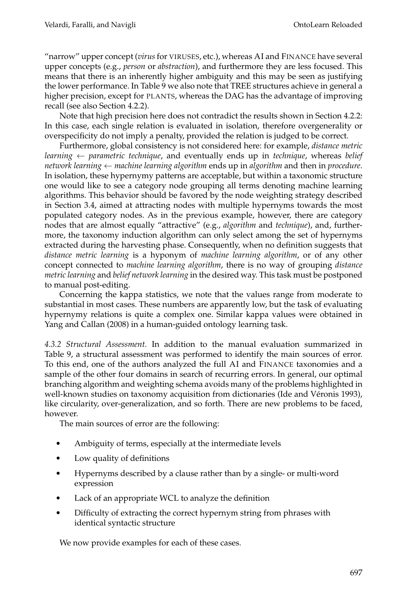"narrow" upper concept (*virus*for VIRUSES, etc.), whereas AI and FINANCE have several upper concepts (e.g., *person* or *abstraction*), and furthermore they are less focused. This means that there is an inherently higher ambiguity and this may be seen as justifying the lower performance. In Table 9 we also note that TREE structures achieve in general a higher precision, except for PLANTS, whereas the DAG has the advantage of improving recall (see also Section 4.2.2).

Note that high precision here does not contradict the results shown in Section 4.2.2: In this case, each single relation is evaluated in isolation, therefore overgenerality or overspecificity do not imply a penalty, provided the relation is judged to be correct.

Furthermore, global consistency is not considered here: for example, *distance metric learning* ← *parametric technique*, and eventually ends up in *technique*, whereas *belief network learning* ← *machine learning algorithm* ends up in *algorithm* and then in *procedure*. In isolation, these hypernymy patterns are acceptable, but within a taxonomic structure one would like to see a category node grouping all terms denoting machine learning algorithms. This behavior should be favored by the node weighting strategy described in Section 3.4, aimed at attracting nodes with multiple hypernyms towards the most populated category nodes. As in the previous example, however, there are category nodes that are almost equally "attractive" (e.g., *algorithm* and *technique*), and, furthermore, the taxonomy induction algorithm can only select among the set of hypernyms extracted during the harvesting phase. Consequently, when no definition suggests that *distance metric learning* is a hyponym of *machine learning algorithm*, or of any other concept connected to *machine learning algorithm*, there is no way of grouping *distance metric learning* and *belief network learning* in the desired way. This task must be postponed to manual post-editing.

Concerning the kappa statistics, we note that the values range from moderate to substantial in most cases. These numbers are apparently low, but the task of evaluating hypernymy relations is quite a complex one. Similar kappa values were obtained in Yang and Callan (2008) in a human-guided ontology learning task.

*4.3.2 Structural Assessment.* In addition to the manual evaluation summarized in Table 9, a structural assessment was performed to identify the main sources of error. To this end, one of the authors analyzed the full AI and FINANCE taxonomies and a sample of the other four domains in search of recurring errors. In general, our optimal branching algorithm and weighting schema avoids many of the problems highlighted in well-known studies on taxonomy acquisition from dictionaries (Ide and Véronis 1993), like circularity, over-generalization, and so forth. There are new problems to be faced, however.

The main sources of error are the following:

- Ambiguity of terms, especially at the intermediate levels
- Low quality of definitions
- Hypernyms described by a clause rather than by a single- or multi-word expression
- Lack of an appropriate WCL to analyze the definition
- Difficulty of extracting the correct hypernym string from phrases with identical syntactic structure

We now provide examples for each of these cases.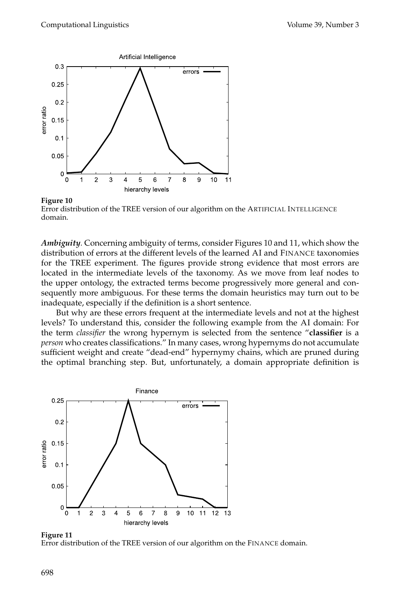

#### **Figure 10**

Error distribution of the TREE version of our algorithm on the ARTIFICIAL INTELLIGENCE domain.

*Ambiguity.* Concerning ambiguity of terms, consider Figures 10 and 11, which show the distribution of errors at the different levels of the learned AI and FINANCE taxonomies for the TREE experiment. The figures provide strong evidence that most errors are located in the intermediate levels of the taxonomy. As we move from leaf nodes to the upper ontology, the extracted terms become progressively more general and consequently more ambiguous. For these terms the domain heuristics may turn out to be inadequate, especially if the definition is a short sentence.

But why are these errors frequent at the intermediate levels and not at the highest levels? To understand this, consider the following example from the AI domain: For the term *classifier* the wrong hypernym is selected from the sentence "**classifier** is a *person* who creates classifications." In many cases, wrong hypernyms do not accumulate sufficient weight and create "dead-end" hypernymy chains, which are pruned during the optimal branching step. But, unfortunately, a domain appropriate definition is



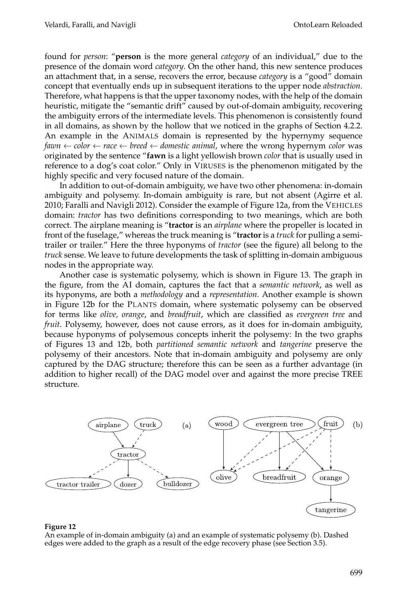found for *person*: "**person** is the more general *category* of an individual," due to the presence of the domain word *category*. On the other hand, this new sentence produces an attachment that, in a sense, recovers the error, because *category* is a "good" domain concept that eventually ends up in subsequent iterations to the upper node *abstraction*. Therefore, what happens is that the upper taxonomy nodes, with the help of the domain heuristic, mitigate the "semantic drift" caused by out-of-domain ambiguity, recovering the ambiguity errors of the intermediate levels. This phenomenon is consistently found in all domains, as shown by the hollow that we noticed in the graphs of Section 4.2.2. An example in the ANIMALS domain is represented by the hypernymy sequence *fawn*  $\leftarrow$  *color*  $\leftarrow$  *race*  $\leftarrow$  *breed*  $\leftarrow$  *domestic animal*, where the wrong hypernym *color* was originated by the sentence "**fawn** is a light yellowish brown *color* that is usually used in reference to a dog's coat color." Only in VIRUSES is the phenomenon mitigated by the highly specific and very focused nature of the domain.

In addition to out-of-domain ambiguity, we have two other phenomena: in-domain ambiguity and polysemy. In-domain ambiguity is rare, but not absent (Agirre et al. 2010; Faralli and Navigli 2012). Consider the example of Figure 12a, from the VEHICLES domain: *tractor* has two definitions corresponding to two meanings, which are both correct. The airplane meaning is "**tractor** is an *airplane* where the propeller is located in front of the fuselage," whereas the truck meaning is "**tractor** is a *truck* for pulling a semitrailer or trailer." Here the three hyponyms of *tractor* (see the figure) all belong to the *truck* sense. We leave to future developments the task of splitting in-domain ambiguous nodes in the appropriate way.

Another case is systematic polysemy, which is shown in Figure 13. The graph in the figure, from the AI domain, captures the fact that a *semantic network*, as well as its hyponyms, are both a *methodology* and a *representation*. Another example is shown in Figure 12b for the PLANTS domain, where systematic polysemy can be observed for terms like *olive, orange*, and *breadfruit*, which are classified as *evergreen tree* and *fruit*. Polysemy, however, does not cause errors, as it does for in-domain ambiguity, because hyponyms of polysemous concepts inherit the polysemy: In the two graphs of Figures 13 and 12b, both *partitioned semantic network* and *tangerine* preserve the polysemy of their ancestors. Note that in-domain ambiguity and polysemy are only captured by the DAG structure; therefore this can be seen as a further advantage (in addition to higher recall) of the DAG model over and against the more precise TREE structure.



#### **Figure 12**

An example of in-domain ambiguity (a) and an example of systematic polysemy (b). Dashed edges were added to the graph as a result of the edge recovery phase (see Section 3.5).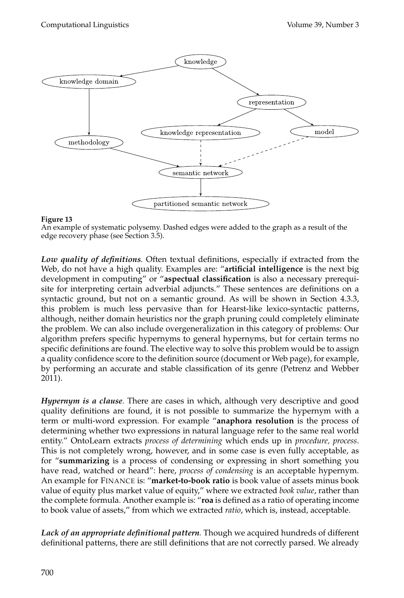

# **Figure 13**

An example of systematic polysemy. Dashed edges were added to the graph as a result of the edge recovery phase (see Section 3.5).

*Low quality of definitions.* Often textual definitions, especially if extracted from the Web, do not have a high quality. Examples are: "**artificial intelligence** is the next big development in computing" or "**aspectual classification** is also a necessary prerequisite for interpreting certain adverbial adjuncts." These sentences are definitions on a syntactic ground, but not on a semantic ground. As will be shown in Section 4.3.3, this problem is much less pervasive than for Hearst-like lexico-syntactic patterns, although, neither domain heuristics nor the graph pruning could completely eliminate the problem. We can also include overgeneralization in this category of problems: Our algorithm prefers specific hypernyms to general hypernyms, but for certain terms no specific definitions are found. The elective way to solve this problem would be to assign a quality confidence score to the definition source (document or Web page), for example, by performing an accurate and stable classification of its genre (Petrenz and Webber 2011).

*Hypernym is a clause.* There are cases in which, although very descriptive and good quality definitions are found, it is not possible to summarize the hypernym with a term or multi-word expression. For example "**anaphora resolution** is the process of determining whether two expressions in natural language refer to the same real world entity." OntoLearn extracts *process of determining* which ends up in *procedure, process*. This is not completely wrong, however, and in some case is even fully acceptable, as for "**summarizing** is a process of condensing or expressing in short something you have read, watched or heard": here, *process of condensing* is an acceptable hypernym. An example for FINANCE is: "**market-to-book ratio** is book value of assets minus book value of equity plus market value of equity," where we extracted *book value*, rather than the complete formula. Another example is: "**roa** is defined as a ratio of operating income to book value of assets," from which we extracted *ratio*, which is, instead, acceptable.

*Lack of an appropriate definitional pattern.* Though we acquired hundreds of different definitional patterns, there are still definitions that are not correctly parsed. We already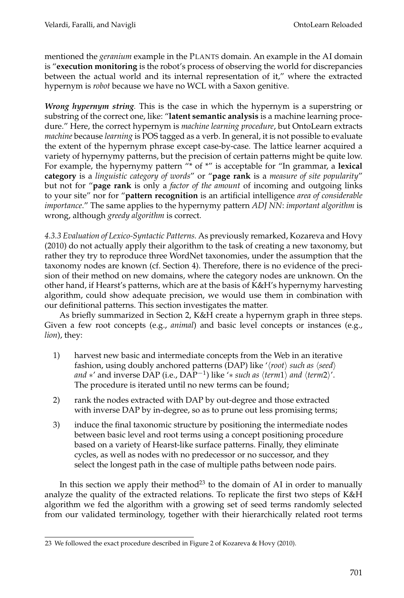mentioned the *geranium* example in the PLANTS domain. An example in the AI domain is "**execution monitoring** is the robot's process of observing the world for discrepancies between the actual world and its internal representation of it," where the extracted hypernym is *robot* because we have no WCL with a Saxon genitive.

*Wrong hypernym string.* This is the case in which the hypernym is a superstring or substring of the correct one, like: "**latent semantic analysis** is a machine learning procedure." Here, the correct hypernym is *machine learning procedure*, but OntoLearn extracts *machine* because *learning* is POS tagged as a verb. In general, it is not possible to evaluate the extent of the hypernym phrase except case-by-case. The lattice learner acquired a variety of hypernymy patterns, but the precision of certain patterns might be quite low. For example, the hypernymy pattern "\* of \*" is acceptable for "In grammar, a **lexical category** is a *linguistic category of words*" or "**page rank** is a *measure of site popularity*" but not for "**page rank** is only a *factor of the amount* of incoming and outgoing links to your site" nor for "**pattern recognition** is an artificial intelligence *area of considerable importance*." The same applies to the hypernymy pattern *ADJ NN*: *important algorithm* is wrong, although *greedy algorithm* is correct.

*4.3.3 Evaluation of Lexico-Syntactic Patterns.* As previously remarked, Kozareva and Hovy (2010) do not actually apply their algorithm to the task of creating a new taxonomy, but rather they try to reproduce three WordNet taxonomies, under the assumption that the taxonomy nodes are known (cf. Section 4). Therefore, there is no evidence of the precision of their method on new domains, where the category nodes are unknown. On the other hand, if Hearst's patterns, which are at the basis of K&H's hypernymy harvesting algorithm, could show adequate precision, we would use them in combination with our definitional patterns. This section investigates the matter.

As briefly summarized in Section 2, K&H create a hypernym graph in three steps. Given a few root concepts (e.g., *animal*) and basic level concepts or instances (e.g., *lion*), they:

- 1) harvest new basic and intermediate concepts from the Web in an iterative fashion, using doubly anchored patterns (DAP) like '/root\ such as  $\langle seed \rangle$ *and*  $*'$  and inverse DAP (i.e., DAP<sup>-1</sup>) like  $*$  *such as*  $\langle term1 \rangle$  *and*  $\langle term2 \rangle'$ *.* The procedure is iterated until no new terms can be found;
- 2) rank the nodes extracted with DAP by out-degree and those extracted with inverse DAP by in-degree, so as to prune out less promising terms;
- 3) induce the final taxonomic structure by positioning the intermediate nodes between basic level and root terms using a concept positioning procedure based on a variety of Hearst-like surface patterns. Finally, they eliminate cycles, as well as nodes with no predecessor or no successor, and they select the longest path in the case of multiple paths between node pairs.

In this section we apply their method<sup>23</sup> to the domain of AI in order to manually analyze the quality of the extracted relations. To replicate the first two steps of K&H algorithm we fed the algorithm with a growing set of seed terms randomly selected from our validated terminology, together with their hierarchically related root terms

<sup>23</sup> We followed the exact procedure described in Figure 2 of Kozareva & Hovy (2010).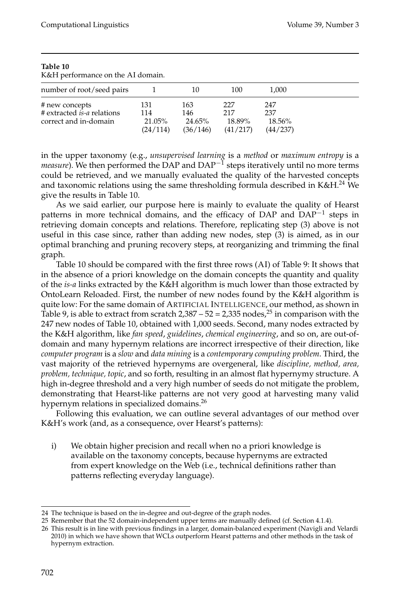| K&H performance on the AI domain. |          |          |          |          |  |  |  |  |  |  |
|-----------------------------------|----------|----------|----------|----------|--|--|--|--|--|--|
| number of root/seed pairs         |          |          | 100      | 1.000    |  |  |  |  |  |  |
| # new concepts                    | 131      | 163      | 227      | 247      |  |  |  |  |  |  |
| # extracted <i>is-a</i> relations | 114      | 146      | 217      | 237      |  |  |  |  |  |  |
| correct and in-domain             | 21.05%   | 24.65%   | 18.89%   | 18.56%   |  |  |  |  |  |  |
|                                   | (24/114) | (36/146) | (41/217) | (44/237) |  |  |  |  |  |  |

in the upper taxonomy (e.g., *unsupervised learning* is a *method* or *maximum entropy* is a *measure*). We then performed the DAP and DAP<sup>-1</sup> steps iteratively until no more terms could be retrieved, and we manually evaluated the quality of the harvested concepts and taxonomic relations using the same thresholding formula described in  $K\&H^{24}$  We give the results in Table 10.

As we said earlier, our purpose here is mainly to evaluate the quality of Hearst patterns in more technical domains, and the efficacy of DAP and  $DAP^{-1}$  steps in retrieving domain concepts and relations. Therefore, replicating step (3) above is not useful in this case since, rather than adding new nodes, step (3) is aimed, as in our optimal branching and pruning recovery steps, at reorganizing and trimming the final graph.

Table 10 should be compared with the first three rows (AI) of Table 9: It shows that in the absence of a priori knowledge on the domain concepts the quantity and quality of the *is-a* links extracted by the K&H algorithm is much lower than those extracted by OntoLearn Reloaded. First, the number of new nodes found by the K&H algorithm is quite low: For the same domain of ARTIFICIAL INTELLIGENCE, our method, as shown in Table 9, is able to extract from scratch  $2,387 - 52 = 2,335$  nodes,<sup>25</sup> in comparison with the 247 new nodes of Table 10, obtained with 1,000 seeds. Second, many nodes extracted by the K&H algorithm, like *fan speed*, *guidelines*, *chemical engineering*, and so on, are out-ofdomain and many hypernym relations are incorrect irrespective of their direction, like *computer program* is a *slow* and *data mining* is a *contemporary computing problem*. Third, the vast majority of the retrieved hypernyms are overgeneral, like *discipline, method, area, problem, technique, topic*, and so forth, resulting in an almost flat hypernymy structure. A high in-degree threshold and a very high number of seeds do not mitigate the problem, demonstrating that Hearst-like patterns are not very good at harvesting many valid hypernym relations in specialized domains.<sup>26</sup>

Following this evaluation, we can outline several advantages of our method over K&H's work (and, as a consequence, over Hearst's patterns):

i) We obtain higher precision and recall when no a priori knowledge is available on the taxonomy concepts, because hypernyms are extracted from expert knowledge on the Web (i.e., technical definitions rather than patterns reflecting everyday language).

<sup>24</sup> The technique is based on the in-degree and out-degree of the graph nodes.

<sup>25</sup> Remember that the 52 domain-independent upper terms are manually defined (cf. Section 4.1.4).

<sup>26</sup> This result is in line with previous findings in a larger, domain-balanced experiment (Navigli and Velardi 2010) in which we have shown that WCLs outperform Hearst patterns and other methods in the task of hypernym extraction.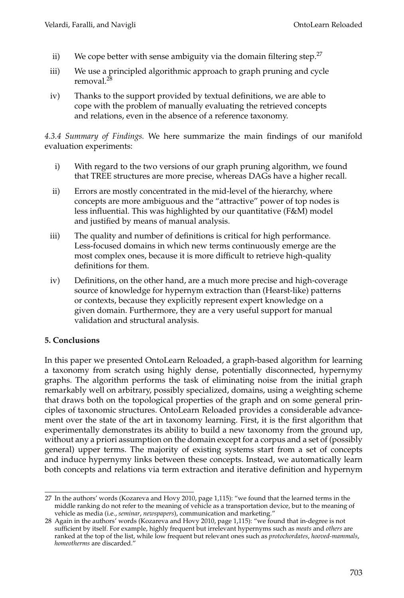- ii) We cope better with sense ambiguity via the domain filtering step. $27$
- iii) We use a principled algorithmic approach to graph pruning and cycle removal.<sup>28</sup>
- iv) Thanks to the support provided by textual definitions, we are able to cope with the problem of manually evaluating the retrieved concepts and relations, even in the absence of a reference taxonomy.

*4.3.4 Summary of Findings.* We here summarize the main findings of our manifold evaluation experiments:

- i) With regard to the two versions of our graph pruning algorithm, we found that TREE structures are more precise, whereas DAGs have a higher recall.
- ii) Errors are mostly concentrated in the mid-level of the hierarchy, where concepts are more ambiguous and the "attractive" power of top nodes is less influential. This was highlighted by our quantitative (F&M) model and justified by means of manual analysis.
- iii) The quality and number of definitions is critical for high performance. Less-focused domains in which new terms continuously emerge are the most complex ones, because it is more difficult to retrieve high-quality definitions for them.
- iv) Definitions, on the other hand, are a much more precise and high-coverage source of knowledge for hypernym extraction than (Hearst-like) patterns or contexts, because they explicitly represent expert knowledge on a given domain. Furthermore, they are a very useful support for manual validation and structural analysis.

# **5. Conclusions**

In this paper we presented OntoLearn Reloaded, a graph-based algorithm for learning a taxonomy from scratch using highly dense, potentially disconnected, hypernymy graphs. The algorithm performs the task of eliminating noise from the initial graph remarkably well on arbitrary, possibly specialized, domains, using a weighting scheme that draws both on the topological properties of the graph and on some general principles of taxonomic structures. OntoLearn Reloaded provides a considerable advancement over the state of the art in taxonomy learning. First, it is the first algorithm that experimentally demonstrates its ability to build a new taxonomy from the ground up, without any a priori assumption on the domain except for a corpus and a set of (possibly general) upper terms. The majority of existing systems start from a set of concepts and induce hypernymy links between these concepts. Instead, we automatically learn both concepts and relations via term extraction and iterative definition and hypernym

<sup>27</sup> In the authors' words (Kozareva and Hovy 2010, page 1,115): "we found that the learned terms in the middle ranking do not refer to the meaning of vehicle as a transportation device, but to the meaning of vehicle as media (i.e., *seminar*, *newspapers*), communication and marketing."

<sup>28</sup> Again in the authors' words (Kozareva and Hovy 2010, page 1,115): "we found that in-degree is not sufficient by itself. For example, highly frequent but irrelevant hypernyms such as *meats* and *others* are ranked at the top of the list, while low frequent but relevant ones such as *protochordates*, *hooved-mammals*, *homeotherms* are discarded."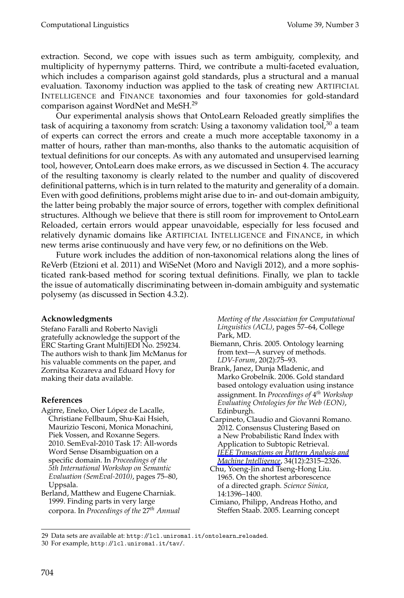Computational Linguistics Volume 39, Number 3

extraction. Second, we cope with issues such as term ambiguity, complexity, and multiplicity of hypernymy patterns. Third, we contribute a multi-faceted evaluation, which includes a comparison against gold standards, plus a structural and a manual evaluation. Taxonomy induction was applied to the task of creating new ARTIFICIAL INTELLIGENCE and FINANCE taxonomies and four taxonomies for gold-standard comparison against WordNet and MeSH.<sup>29</sup>

Our experimental analysis shows that OntoLearn Reloaded greatly simplifies the task of acquiring a taxonomy from scratch: Using a taxonomy validation tool,<sup>30</sup> a team of experts can correct the errors and create a much more acceptable taxonomy in a matter of hours, rather than man-months, also thanks to the automatic acquisition of textual definitions for our concepts. As with any automated and unsupervised learning tool, however, OntoLearn does make errors, as we discussed in Section 4. The accuracy of the resulting taxonomy is clearly related to the number and quality of discovered definitional patterns, which is in turn related to the maturity and generality of a domain. Even with good definitions, problems might arise due to in- and out-domain ambiguity, the latter being probably the major source of errors, together with complex definitional structures. Although we believe that there is still room for improvement to OntoLearn Reloaded, certain errors would appear unavoidable, especially for less focused and relatively dynamic domains like ARTIFICIAL INTELLIGENCE and FINANCE, in which new terms arise continuously and have very few, or no definitions on the Web.

Future work includes the addition of non-taxonomical relations along the lines of ReVerb (Etzioni et al. 2011) and WiSeNet (Moro and Navigli 2012), and a more sophisticated rank-based method for scoring textual definitions. Finally, we plan to tackle the issue of automatically discriminating between in-domain ambiguity and systematic polysemy (as discussed in Section 4.3.2).

#### **Acknowledgments**

Stefano Faralli and Roberto Navigli gratefully acknowledge the support of the ERC Starting Grant MultiJEDI No. 259234. The authors wish to thank Jim McManus for his valuable comments on the paper, and Zornitsa Kozareva and Eduard Hovy for making their data available.

#### **References**

- Agirre, Eneko, Oier López de Lacalle, Christiane Fellbaum, Shu-Kai Hsieh, Maurizio Tesconi, Monica Monachini, Piek Vossen, and Roxanne Segers. 2010. SemEval-2010 Task 17: All-words Word Sense Disambiguation on a specific domain. In *Proceedings of the 5th International Workshop on Semantic Evaluation (SemEval-2010)*, pages 75–80, Uppsala.
- Berland, Matthew and Eugene Charniak. 1999. Finding parts in very large corpora. In *Proceedings of the* 27*th Annual*

*Meeting of the Association for Computational Linguistics (ACL)*, pages 57–64, College Park, MD.

- Biemann, Chris. 2005. Ontology learning from text—A survey of methods. *LDV-Forum*, 20(2):75–93.
- Brank, Janez, Dunja Mladenic, and Marko Grobelnik. 2006. Gold standard based ontology evaluation using instance assignment. In *Proceedings of* 4*th Workshop Evaluating Ontologies for the Web (EON)*, Edinburgh.
- Carpineto, Claudio and Giovanni Romano. 2012. Consensus Clustering Based on a New Probabilistic Rand Index with Application to Subtopic Retrieval. *IEEE Transactions on Pattern Analysis and Machine Intelligence*, 34(12):2315–2326.
- Chu, Yoeng-Jin and Tseng-Hong Liu. 1965. On the shortest arborescence of a directed graph. *Science Sinica*, 14:1396–1400.
- Cimiano, Philipp, Andreas Hotho, and Steffen Staab. 2005. Learning concept

<sup>29</sup> Data sets are available at: http://lcl.uniroma1.it/ontolearn reloaded.

<sup>30</sup> For example, http://lcl.uniroma1.it/tav/.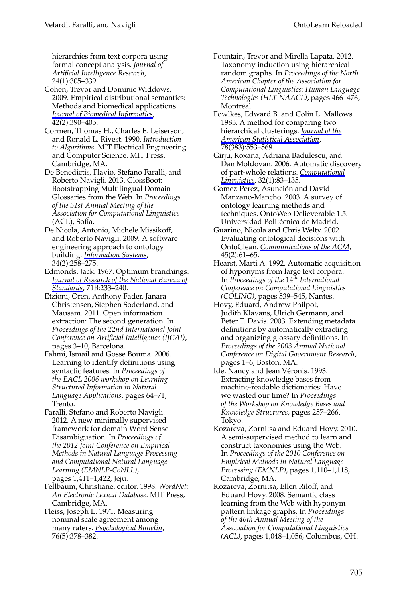#### Velardi, Faralli, and Navigli OntoLearn Reloaded

hierarchies from text corpora using formal concept analysis. *Journal of Artificial Intelligence Research*, 24(1):305–339.

- Cohen, Trevor and Dominic Widdows. 2009. Empirical distributional semantics: Methods and biomedical applications. *Journal of Biomedical Informatics*, 42(2):390–405.
- Cormen, Thomas H., Charles E. Leiserson, and Ronald L. Rivest. 1990. *Introduction to Algorithms*. MIT Electrical Engineering and Computer Science. MIT Press, Cambridge, MA.
- De Benedictis, Flavio, Stefano Faralli, and Roberto Navigli. 2013. GlossBoot: Bootstrapping Multilingual Domain Glossaries from the Web. In *Proceedings of the 51st Annual Meeting of the Association for Computational Linguistics* (ACL), Sofia.
- De Nicola, Antonio, Michele Missikoff, and Roberto Navigli. 2009. A software engineering approach to ontology building. *Information Systems*, 34(2):258–275.
- Edmonds, Jack. 1967. Optimum branchings. *Journal of Research of the National Bureau of Standards*, 71B:233–240.
- Etzioni, Oren, Anthony Fader, Janara Christensen, Stephen Soderland, and Mausam. 2011. Open information extraction: The second generation. In *Proceedings of the 22nd International Joint Conference on Artificial Intelligence (IJCAI)*, pages 3–10, Barcelona.

Fahmi, Ismail and Gosse Bouma. 2006. Learning to identify definitions using syntactic features. In *Proceedings of the EACL 2006 workshop on Learning Structured Information in Natural Language Applications*, pages 64–71, Trento.

Faralli, Stefano and Roberto Navigli. 2012. A new minimally supervised framework for domain Word Sense Disambiguation. In *Proceedings of the 2012 Joint Conference on Empirical Methods in Natural Language Processing and Computational Natural Language Learning (EMNLP-CoNLL)*, pages 1,411–1,422, Jeju.

Fellbaum, Christiane, editor. 1998. *WordNet: An Electronic Lexical Database*. MIT Press, Cambridge, MA.

Fleiss, Joseph L. 1971. Measuring nominal scale agreement among many raters. *Psychological Bulletin*, 76(5):378–382.

#### Fountain, Trevor and Mirella Lapata. 2012. Taxonomy induction using hierarchical random graphs. In *Proceedings of the North American Chapter of the Association for Computational Linguistics: Human Language Technologies (HLT-NAACL)*, pages 466–476, Montréal.

- Fowlkes, Edward B. and Colin L. Mallows. 1983. A method for comparing two hierarchical clusterings. *Journal of the American Statistical Association*, 78(383):553–569.
- Girju, Roxana, Adriana Badulescu, and Dan Moldovan. 2006. Automatic discovery of part-whole relations. *Computational Linguistics*, 32(1):83–135.
- Gomez-Perez, Asunción and David Manzano-Mancho. 2003. A survey of ontology learning methods and techniques. OntoWeb Delieverable 1.5. Universidad Politécnica de Madrid.
- Guarino, Nicola and Chris Welty. 2002. Evaluating ontological decisions with OntoClean. *Communications of the ACM*, 45(2):61–65.
- Hearst, Marti A. 1992. Automatic acquisition of hyponyms from large text corpora. In *Proceedings of the* 14*th International Conference on Computational Linguistics (COLING)*, pages 539–545, Nantes.
- Hovy, Eduard, Andrew Philpot, Judith Klavans, Ulrich Germann, and Peter T. Davis. 2003. Extending metadata definitions by automatically extracting and organizing glossary definitions. In *Proceedings of the 2003 Annual National Conference on Digital Government Research*, pages 1–6, Boston, MA.
- Ide, Nancy and Jean Véronis. 1993. Extracting knowledge bases from machine-readable dictionaries: Have we wasted our time? In *Proceedings of the Workshop on Knowledge Bases and Knowledge Structures*, pages 257–266, Tokyo.
- Kozareva, Zornitsa and Eduard Hovy. 2010. A semi-supervised method to learn and construct taxonomies using the Web. In *Proceedings of the 2010 Conference on Empirical Methods in Natural Language Processing (EMNLP)*, pages 1,110–1,118, Cambridge, MA.
- Kozareva, Zornitsa, Ellen Riloff, and Eduard Hovy. 2008. Semantic class learning from the Web with hyponym pattern linkage graphs. In *Proceedings of the 46th Annual Meeting of the Association for Computational Linguistics (ACL)*, pages 1,048–1,056, Columbus, OH.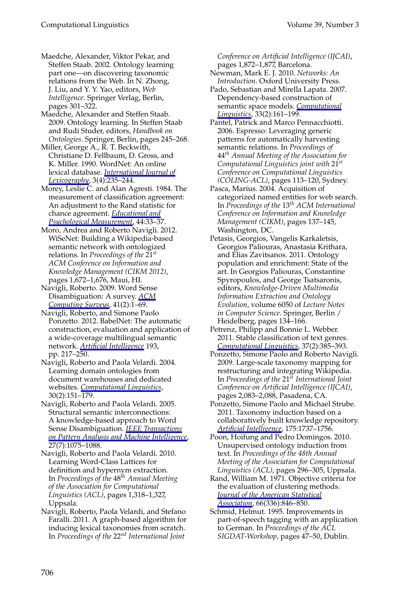#### Computational Linguistics Volume 39, Number 3

- Maedche, Alexander, Viktor Pekar, and Steffen Staab. 2002. Ontology learning part one—on discovering taxonomic relations from the Web. In N. Zhong, J. Liu, and Y. Y. Yao, editors, *Web Intelligence*. Springer Verlag, Berlin, pages 301–322.
- Maedche, Alexander and Steffen Staab. 2009. Ontology learning. In Steffen Staab and Rudi Studer, editors, *Handbook on Ontologies*. Springer, Berlin, pages 245–268.
- Miller, George A., R. T. Beckwith, Christiane D. Fellbaum, D. Gross, and K. Miller. 1990. WordNet: An online lexical database. *International Journal of Lexicography*, 3(4):235–244.
- Morey, Leslie C. and Alan Agresti. 1984. The measurement of classification agreement: An adjustment to the Rand statistic for chance agreement. *Educational and Psychological Measurement*, 44:33–37.
- Moro, Andrea and Roberto Navigli. 2012. WiSeNet: Building a Wikipedia-based semantic network with ontologized relations. In *Proceedings of the* 21*st ACM Conference on Information and Knowledge Management (CIKM 2012)*, pages 1,672–1,676, Maui, HI.
- Navigli, Roberto. 2009. Word Sense Disambiguation: A survey. *ACM Computing Surveys*, 41(2):1–69.
- Navigli, Roberto, and Simone Paolo Ponzetto. 2012. BabelNet: The automatic construction, evaluation and application of a wide-coverage multilingual semantic network. *Artificial Intelligence* 193, pp. 217–250.
- Navigli, Roberto and Paola Velardi. 2004. Learning domain ontologies from document warehouses and dedicated websites. *Computational Linguistics*, 30(2):151–179.
- Navigli, Roberto and Paola Velardi. 2005. Structural semantic interconnections: A knowledge-based approach to Word Sense Disambiguation. *IEEE Transactions on Pattern Analysis and Machine Intelligence*, 27(7):1075–1088.
- Navigli, Roberto and Paola Velardi. 2010. Learning Word-Class Lattices for definition and hypernym extraction. In *Proceedings of the* 48*th Annual Meeting of the Association for Computational Linguistics (ACL)*, pages 1,318–1,327, Uppsala.
- Navigli, Roberto, Paola Velardi, and Stefano Faralli. 2011. A graph-based algorithm for inducing lexical taxonomies from scratch. In *Proceedings of the* 22*nd International Joint*

- *Conference on Artificial Intelligence (IJCAI)*, pages 1,872–1,877, Barcelona.
- Newman, Mark E. J. 2010. *Networks: An Introduction*. Oxford University Press.
- Pado, Sebastian and Mirella Lapata. 2007. Dependency-based construction of semantic space models. *Computational Linguistics*, 33(2):161–199.
- Pantel, Patrick and Marco Pennacchiotti. 2006. Espresso: Leveraging generic patterns for automatically harvesting semantic relations. In *Proceedings of* 44*th Annual Meeting of the Association for Computational Linguistics joint with* 21*st Conference on Computational Linguistics (COLING-ACL)*, pages 113–120, Sydney.
- Pasca, Marius. 2004. Acquisition of categorized named entities for web search. In *Proceedings of the* 13*th ACM International Conference on Information and Knowledge Management (CIKM)*, pages 137–145, Washington, DC.
- Petasis, Georgios, Vangelis Karkaletsis, Georgios Paliouras, Anastasia Krithara, and Elias Zavitsanos. 2011. Ontology population and enrichment: State of the art. In Georgios Paliouras, Constantine Spyropoulos, and George Tsatsaronis, editors, *Knowledge-Driven Multimedia Information Extraction and Ontology Evolution*, volume 6050 of *Lecture Notes in Computer Science*. Springer, Berlin / Heidelberg, pages 134–166.
- Petrenz, Philipp and Bonnie L. Webber. 2011. Stable classification of text genres. *Computational Linguistics*, 37(2):385–393.
- Ponzetto, Simone Paolo and Roberto Navigli. 2009. Large-scale taxonomy mapping for restructuring and integrating Wikipedia. In *Proceedings of the* 21*st International Joint Conference on Artificial Intelligence (IJCAI)*, pages 2,083–2,088, Pasadena, CA.
- Ponzetto, Simone Paolo and Michael Strube. 2011. Taxonomy induction based on a collaboratively built knowledge repository. *Artificial Intelligence*, 175:1737–1756.
- Poon, Hoifung and Pedro Domingos. 2010. Unsupervised ontology induction from text. In *Proceedings of the 48th Annual Meeting of the Association for Computational Linguistics (ACL)*, pages 296–305, Uppsala.
- Rand, William M. 1971. Objective criteria for the evaluation of clustering methods. *Journal of the American Statistical Association*, 66(336):846–850.
- Schmid, Helmut. 1995. Improvements in part-of-speech tagging with an application to German. In *Proceedings of the ACL SIGDAT-Workshop*, pages 47–50, Dublin.